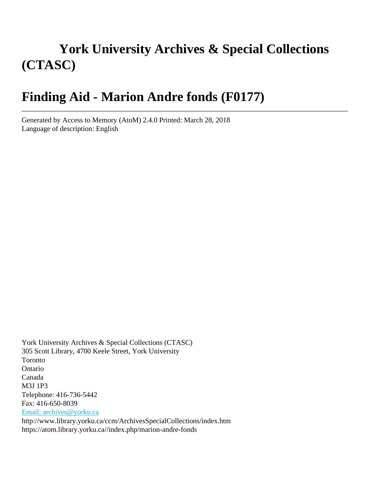# **York University Archives & Special Collections (CTASC)**

# **Finding Aid - Marion Andre fonds (F0177)**

Generated by Access to Memory (AtoM) 2.4.0 Printed: March 28, 2018 Language of description: English

York University Archives & Special Collections (CTASC) 305 Scott Library, 4700 Keele Street, York University Toronto Ontario Canada M3J 1P3 Telephone: 416-736-5442 Fax: 416-650-8039 [Email: archives@yorku.ca](mailto:Email: archives@yorku.ca) http://www.library.yorku.ca/ccm/ArchivesSpecialCollections/index.htm https://atom.library.yorku.ca//index.php/marion-andre-fonds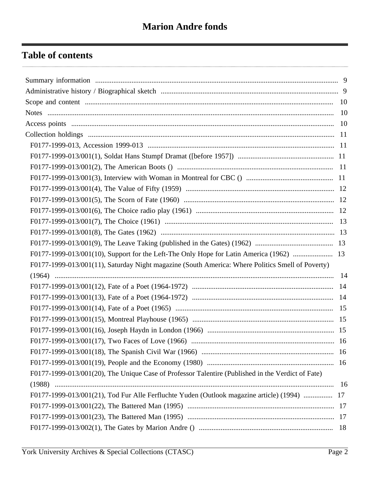# **Table of contents**

| F0177-1999-013/001(10), Support for the Left-The Only Hope for Latin America (1962)  13           |     |
|---------------------------------------------------------------------------------------------------|-----|
| F0177-1999-013/001(11), Saturday Night magazine (South America: Where Politics Smell of Poverty)  |     |
|                                                                                                   |     |
|                                                                                                   |     |
|                                                                                                   |     |
|                                                                                                   |     |
|                                                                                                   |     |
|                                                                                                   |     |
|                                                                                                   |     |
|                                                                                                   | -16 |
|                                                                                                   |     |
| F0177-1999-013/001(20), The Unique Case of Professor Talentire (Published in the Verdict of Fate) |     |
|                                                                                                   |     |
| F0177-1999-013/001(21), Tod Fur Alle Ferfluchte Yuden (Outlook magazine article) (1994)  17       |     |
|                                                                                                   |     |
|                                                                                                   |     |
|                                                                                                   |     |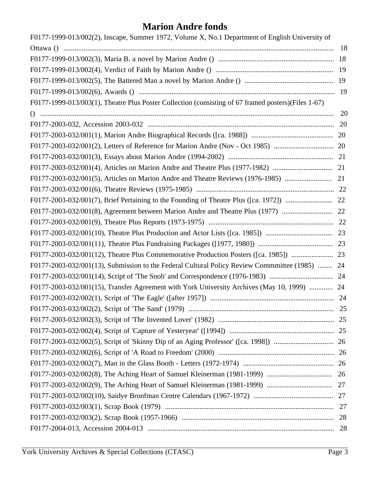| F0177-1999-013/002(2), Inscape, Summer 1972, Volume X, No.1 Department of English University of     |    |
|-----------------------------------------------------------------------------------------------------|----|
|                                                                                                     | 18 |
|                                                                                                     | 18 |
|                                                                                                     | 19 |
|                                                                                                     | 19 |
|                                                                                                     | 19 |
| F0177-1999-013/003(1), Theatre Plus Poster Collection (consisting of 67 framed posters)(Files 1-67) |    |
|                                                                                                     | 20 |
|                                                                                                     |    |
|                                                                                                     |    |
|                                                                                                     |    |
|                                                                                                     |    |
|                                                                                                     |    |
|                                                                                                     |    |
|                                                                                                     |    |
|                                                                                                     |    |
|                                                                                                     |    |
|                                                                                                     |    |
|                                                                                                     |    |
|                                                                                                     |    |
|                                                                                                     |    |
| F0177-2003-032/001(13), Submission to the Federal Cultural Policy Review Commmittee (1985)  24      |    |
|                                                                                                     |    |
| F0177-2003-032/001(15), Transfer Agreement with York University Archives (May 10, 1999)  24         |    |
|                                                                                                     |    |
|                                                                                                     |    |
|                                                                                                     |    |
|                                                                                                     |    |
|                                                                                                     |    |
|                                                                                                     |    |
|                                                                                                     |    |
|                                                                                                     |    |
|                                                                                                     |    |
|                                                                                                     |    |
|                                                                                                     |    |
|                                                                                                     |    |
|                                                                                                     | 28 |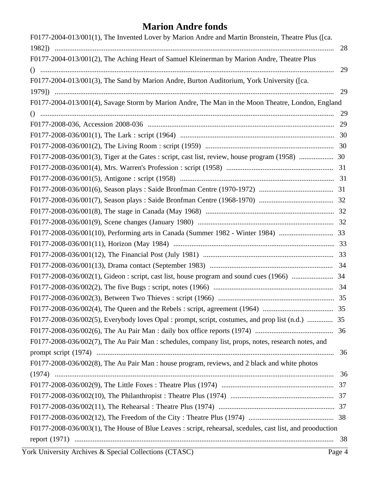| 28<br>F0177-2004-013/001(2), The Aching Heart of Samuel Kleinerman by Marion Andre, Theatre Plus<br>29<br>F0177-2004-013/001(3), The Sand by Marion Andre, Burton Auditorium, York University ([ca.<br>29<br>F0177-2004-013/001(4), Savage Storm by Marion Andre, The Man in the Moon Theatre, London, England<br>29<br>29<br>F0177-2008-036/001(3), Tiger at the Gates : script, cast list, review, house program (1958)  30<br>F0177-2008-036/002(5), Everybody loves Opal : prompt, script, costumes, and prop list (n.d.)  35<br>F0177-2008-036/002(7), The Au Pair Man : schedules, company list, props, notes, research notes, and<br>36<br>F0177-2008-036/002(8), The Au Pair Man : house program, reviews, and 2 black and white photos<br>36<br>F0177-2008-036/003(1), The House of Blue Leaves : script, rehearsal, scedules, cast list, and prooduction | F0177-2004-013/001(1), The Invented Lover by Marion Andre and Martin Bronstein, Theatre Plus ([ca. |  |
|--------------------------------------------------------------------------------------------------------------------------------------------------------------------------------------------------------------------------------------------------------------------------------------------------------------------------------------------------------------------------------------------------------------------------------------------------------------------------------------------------------------------------------------------------------------------------------------------------------------------------------------------------------------------------------------------------------------------------------------------------------------------------------------------------------------------------------------------------------------------|----------------------------------------------------------------------------------------------------|--|
|                                                                                                                                                                                                                                                                                                                                                                                                                                                                                                                                                                                                                                                                                                                                                                                                                                                                    |                                                                                                    |  |
|                                                                                                                                                                                                                                                                                                                                                                                                                                                                                                                                                                                                                                                                                                                                                                                                                                                                    |                                                                                                    |  |
|                                                                                                                                                                                                                                                                                                                                                                                                                                                                                                                                                                                                                                                                                                                                                                                                                                                                    |                                                                                                    |  |
|                                                                                                                                                                                                                                                                                                                                                                                                                                                                                                                                                                                                                                                                                                                                                                                                                                                                    |                                                                                                    |  |
|                                                                                                                                                                                                                                                                                                                                                                                                                                                                                                                                                                                                                                                                                                                                                                                                                                                                    |                                                                                                    |  |
|                                                                                                                                                                                                                                                                                                                                                                                                                                                                                                                                                                                                                                                                                                                                                                                                                                                                    |                                                                                                    |  |
|                                                                                                                                                                                                                                                                                                                                                                                                                                                                                                                                                                                                                                                                                                                                                                                                                                                                    |                                                                                                    |  |
|                                                                                                                                                                                                                                                                                                                                                                                                                                                                                                                                                                                                                                                                                                                                                                                                                                                                    |                                                                                                    |  |
|                                                                                                                                                                                                                                                                                                                                                                                                                                                                                                                                                                                                                                                                                                                                                                                                                                                                    |                                                                                                    |  |
|                                                                                                                                                                                                                                                                                                                                                                                                                                                                                                                                                                                                                                                                                                                                                                                                                                                                    |                                                                                                    |  |
|                                                                                                                                                                                                                                                                                                                                                                                                                                                                                                                                                                                                                                                                                                                                                                                                                                                                    |                                                                                                    |  |
|                                                                                                                                                                                                                                                                                                                                                                                                                                                                                                                                                                                                                                                                                                                                                                                                                                                                    |                                                                                                    |  |
|                                                                                                                                                                                                                                                                                                                                                                                                                                                                                                                                                                                                                                                                                                                                                                                                                                                                    |                                                                                                    |  |
|                                                                                                                                                                                                                                                                                                                                                                                                                                                                                                                                                                                                                                                                                                                                                                                                                                                                    |                                                                                                    |  |
|                                                                                                                                                                                                                                                                                                                                                                                                                                                                                                                                                                                                                                                                                                                                                                                                                                                                    |                                                                                                    |  |
|                                                                                                                                                                                                                                                                                                                                                                                                                                                                                                                                                                                                                                                                                                                                                                                                                                                                    |                                                                                                    |  |
|                                                                                                                                                                                                                                                                                                                                                                                                                                                                                                                                                                                                                                                                                                                                                                                                                                                                    |                                                                                                    |  |
|                                                                                                                                                                                                                                                                                                                                                                                                                                                                                                                                                                                                                                                                                                                                                                                                                                                                    |                                                                                                    |  |
|                                                                                                                                                                                                                                                                                                                                                                                                                                                                                                                                                                                                                                                                                                                                                                                                                                                                    |                                                                                                    |  |
|                                                                                                                                                                                                                                                                                                                                                                                                                                                                                                                                                                                                                                                                                                                                                                                                                                                                    |                                                                                                    |  |
|                                                                                                                                                                                                                                                                                                                                                                                                                                                                                                                                                                                                                                                                                                                                                                                                                                                                    |                                                                                                    |  |
|                                                                                                                                                                                                                                                                                                                                                                                                                                                                                                                                                                                                                                                                                                                                                                                                                                                                    |                                                                                                    |  |
|                                                                                                                                                                                                                                                                                                                                                                                                                                                                                                                                                                                                                                                                                                                                                                                                                                                                    |                                                                                                    |  |
|                                                                                                                                                                                                                                                                                                                                                                                                                                                                                                                                                                                                                                                                                                                                                                                                                                                                    |                                                                                                    |  |
|                                                                                                                                                                                                                                                                                                                                                                                                                                                                                                                                                                                                                                                                                                                                                                                                                                                                    |                                                                                                    |  |
|                                                                                                                                                                                                                                                                                                                                                                                                                                                                                                                                                                                                                                                                                                                                                                                                                                                                    |                                                                                                    |  |
|                                                                                                                                                                                                                                                                                                                                                                                                                                                                                                                                                                                                                                                                                                                                                                                                                                                                    |                                                                                                    |  |
|                                                                                                                                                                                                                                                                                                                                                                                                                                                                                                                                                                                                                                                                                                                                                                                                                                                                    |                                                                                                    |  |
|                                                                                                                                                                                                                                                                                                                                                                                                                                                                                                                                                                                                                                                                                                                                                                                                                                                                    |                                                                                                    |  |
|                                                                                                                                                                                                                                                                                                                                                                                                                                                                                                                                                                                                                                                                                                                                                                                                                                                                    |                                                                                                    |  |
|                                                                                                                                                                                                                                                                                                                                                                                                                                                                                                                                                                                                                                                                                                                                                                                                                                                                    |                                                                                                    |  |
|                                                                                                                                                                                                                                                                                                                                                                                                                                                                                                                                                                                                                                                                                                                                                                                                                                                                    |                                                                                                    |  |
|                                                                                                                                                                                                                                                                                                                                                                                                                                                                                                                                                                                                                                                                                                                                                                                                                                                                    |                                                                                                    |  |
|                                                                                                                                                                                                                                                                                                                                                                                                                                                                                                                                                                                                                                                                                                                                                                                                                                                                    |                                                                                                    |  |
|                                                                                                                                                                                                                                                                                                                                                                                                                                                                                                                                                                                                                                                                                                                                                                                                                                                                    |                                                                                                    |  |
|                                                                                                                                                                                                                                                                                                                                                                                                                                                                                                                                                                                                                                                                                                                                                                                                                                                                    |                                                                                                    |  |
|                                                                                                                                                                                                                                                                                                                                                                                                                                                                                                                                                                                                                                                                                                                                                                                                                                                                    |                                                                                                    |  |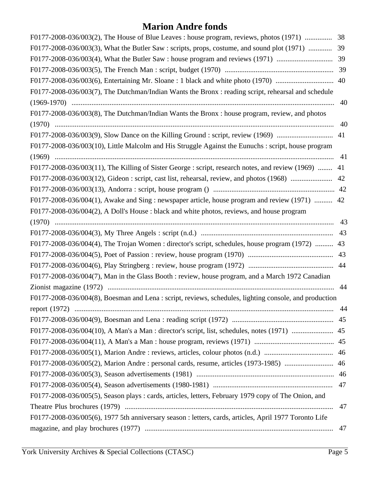| F0177-2008-036/003(2), The House of Blue Leaves : house program, reviews, photos (1971)                | 38 |
|--------------------------------------------------------------------------------------------------------|----|
| F0177-2008-036/003(3), What the Butler Saw : scripts, props, costume, and sound plot (1971)            | 39 |
| F0177-2008-036/003(4), What the Butler Saw : house program and reviews (1971)                          | 39 |
|                                                                                                        | 39 |
| F0177-2008-036/003(6), Entertaining Mr. Sloane: 1 black and white photo (1970)                         | 40 |
| F0177-2008-036/003(7), The Dutchman/Indian Wants the Bronx: reading script, rehearsal and schedule     |    |
|                                                                                                        | 40 |
| F0177-2008-036/003(8), The Dutchman/Indian Wants the Bronx: house program, review, and photos          |    |
|                                                                                                        | 40 |
| F0177-2008-036/003(9), Slow Dance on the Killing Ground : script, review (1969)                        | 41 |
| F0177-2008-036/003(10), Little Malcolm and His Struggle Against the Eunuchs : script, house program    |    |
|                                                                                                        | 41 |
| F0177-2008-036/003(11), The Killing of Sister George : script, research notes, and review (1969)       | 41 |
| F0177-2008-036/003(12), Gideon : script, cast list, rehearsal, review, and photos (1968)               | 42 |
|                                                                                                        |    |
| F0177-2008-036/004(1), Awake and Sing : newspaper article, house program and review (1971)  42         |    |
| F0177-2008-036/004(2), A Doll's House : black and white photos, reviews, and house program             |    |
|                                                                                                        | 43 |
|                                                                                                        | 43 |
| F0177-2008-036/004(4), The Trojan Women : director's script, schedules, house program (1972)           | 43 |
|                                                                                                        | 43 |
|                                                                                                        | 44 |
| F0177-2008-036/004(7), Man in the Glass Booth : review, house program, and a March 1972 Canadian       |    |
|                                                                                                        | 44 |
| F0177-2008-036/004(8), Boesman and Lena : script, reviews, schedules, lighting console, and production |    |
|                                                                                                        |    |
|                                                                                                        |    |
|                                                                                                        |    |
|                                                                                                        |    |
|                                                                                                        |    |
| F0177-2008-036/005(2), Marion Andre : personal cards, resume, articles (1973-1985)                     | 46 |
|                                                                                                        |    |
|                                                                                                        |    |
| F0177-2008-036/005(5), Season plays : cards, articles, letters, February 1979 copy of The Onion, and   |    |
|                                                                                                        | 47 |
| F0177-2008-036/005(6), 1977 5th anniversary season : letters, cards, articles, April 1977 Toronto Life |    |
|                                                                                                        | 47 |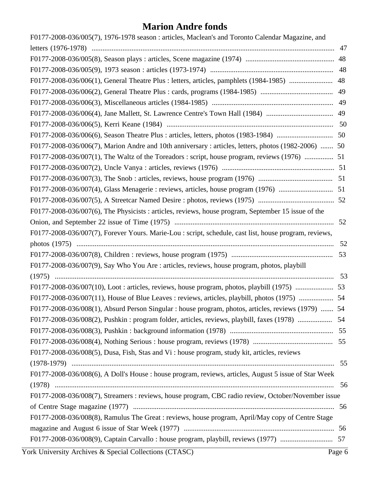| F0177-2008-036/005(7), 1976-1978 season : articles, Maclean's and Toronto Calendar Magazine, and       |    |
|--------------------------------------------------------------------------------------------------------|----|
|                                                                                                        | 47 |
|                                                                                                        | 48 |
|                                                                                                        | 48 |
| F0177-2008-036/006(1), General Theatre Plus : letters, articles, pamphlets (1984-1985)                 | 48 |
|                                                                                                        | 49 |
|                                                                                                        |    |
|                                                                                                        |    |
|                                                                                                        |    |
|                                                                                                        |    |
| F0177-2008-036/006(7), Marion Andre and 10th anniversary : articles, letters, photos (1982-2006)  50   |    |
|                                                                                                        |    |
|                                                                                                        |    |
|                                                                                                        |    |
|                                                                                                        |    |
|                                                                                                        |    |
| F0177-2008-036/007(6), The Physicists : articles, reviews, house program, September 15 issue of the    |    |
|                                                                                                        | 52 |
| F0177-2008-036/007(7), Forever Yours. Marie-Lou : script, schedule, cast list, house program, reviews, |    |
|                                                                                                        | 52 |
|                                                                                                        |    |
| F0177-2008-036/007(9), Say Who You Are : articles, reviews, house program, photos, playbill            |    |
|                                                                                                        |    |
| F0177-2008-036/007(10), Loot: articles, reviews, house program, photos, playbill (1975)                | 53 |
| F0177-2008-036/007(11), House of Blue Leaves : reviews, articles, playbill, photos (1975)  54          |    |
| F0177-2008-036/008(1), Absurd Person Singular : house program, photos, articles, reviews (1979)  54    |    |
| F0177-2008-036/008(2), Pushkin: program folder, articles, reviews, playbill, faxes (1978)              | 54 |
|                                                                                                        | 55 |
|                                                                                                        |    |
| F0177-2008-036/008(5), Dusa, Fish, Stas and Vi : house program, study kit, articles, reviews           |    |
|                                                                                                        |    |
| F0177-2008-036/008(6), A Doll's House : house program, reviews, articles, August 5 issue of Star Week  |    |
|                                                                                                        |    |
| F0177-2008-036/008(7), Streamers: reviews, house program, CBC radio review, October/November issue     |    |
|                                                                                                        |    |
| F0177-2008-036/008(8), Ramulus The Great : reviews, house program, April/May copy of Centre Stage      |    |
|                                                                                                        |    |
|                                                                                                        |    |
|                                                                                                        |    |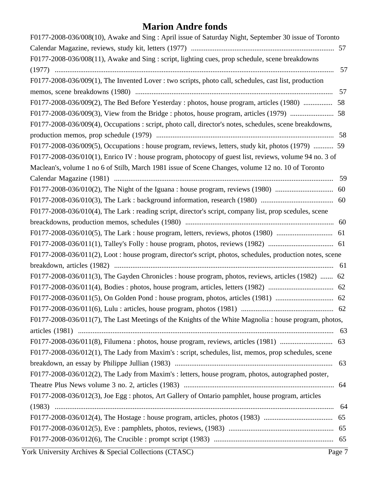| F0177-2008-036/008(10), Awake and Sing: April issue of Saturday Night, September 30 issue of Toronto      |     |
|-----------------------------------------------------------------------------------------------------------|-----|
|                                                                                                           |     |
| F0177-2008-036/008(11), Awake and Sing : script, lighting cues, prop schedule, scene breakdowns           |     |
|                                                                                                           | 57  |
| F0177-2008-036/009(1), The Invented Lover : two scripts, photo call, schedules, cast list, production     |     |
|                                                                                                           | 57  |
| F0177-2008-036/009(2), The Bed Before Yesterday : photos, house program, articles (1980)                  | 58  |
|                                                                                                           |     |
| F0177-2008-036/009(4), Occupations : script, photo call, director's notes, schedules, scene breakdowns,   |     |
|                                                                                                           | 58  |
| F0177-2008-036/009(5), Occupations : house program, reviews, letters, study kit, photos (1979)  59        |     |
| F0177-2008-036/010(1), Enrico IV : house program, photocopy of guest list, reviews, volume 94 no. 3 of    |     |
| Maclean's, volume 1 no 6 of Stilb, March 1981 issue of Scene Changes, volume 12 no. 10 of Toronto         |     |
|                                                                                                           | 59  |
| F0177-2008-036/010(2), The Night of the Iguana : house program, reviews (1980)                            | 60  |
|                                                                                                           |     |
| F0177-2008-036/010(4), The Lark: reading script, director's script, company list, prop scedules, scene    |     |
|                                                                                                           | 60  |
|                                                                                                           |     |
|                                                                                                           |     |
| F0177-2008-036/011(2), Loot: house program, director's script, photos, schedules, production notes, scene |     |
|                                                                                                           |     |
| F0177-2008-036/011(3), The Gayden Chronicles : house program, photos, reviews, articles (1982)  62        |     |
| F0177-2008-036/011(4), Bodies: photos, house program, articles, letters (1982)                            | 62  |
|                                                                                                           |     |
|                                                                                                           |     |
| F0177-2008-036/011(7), The Last Meetings of the Knights of the White Magnolia : house program, photos,    |     |
|                                                                                                           | 63  |
|                                                                                                           |     |
| F0177-2008-036/012(1), The Lady from Maxim's : script, schedules, list, memos, prop schedules, scene      |     |
|                                                                                                           |     |
| F0177-2008-036/012(2), The Lady from Maxim's : letters, house program, photos, autographed poster,        |     |
|                                                                                                           |     |
| F0177-2008-036/012(3), Joe Egg : photos, Art Gallery of Ontario pamphlet, house program, articles         |     |
|                                                                                                           | -64 |
| F0177-2008-036/012(4), The Hostage : house program, articles, photos (1983)                               | 65  |
|                                                                                                           |     |
|                                                                                                           |     |
|                                                                                                           |     |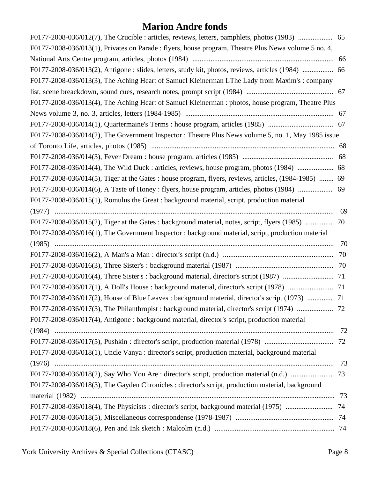| F0177-2008-036/013(1), Privates on Parade : flyers, house program, Theatre Plus Newa volume 5 no. 4, |     |
|------------------------------------------------------------------------------------------------------|-----|
|                                                                                                      |     |
| F0177-2008-036/013(2), Antigone : slides, letters, study kit, photos, reviews, articles (1984)  66   |     |
| F0177-2008-036/013(3), The Aching Heart of Samuel Kleinerman LThe Lady from Maxim's: company         |     |
|                                                                                                      |     |
| F0177-2008-036/013(4), The Aching Heart of Samuel Kleinerman : photos, house program, Theatre Plus   |     |
|                                                                                                      |     |
|                                                                                                      |     |
| F0177-2008-036/014(2), The Government Inspector: Theatre Plus News volume 5, no. 1, May 1985 issue   |     |
|                                                                                                      |     |
|                                                                                                      |     |
| F0177-2008-036/014(4), The Wild Duck : articles, reviews, house program, photos (1984)  68           |     |
| F0177-2008-036/014(5), Tiger at the Gates: house program, flyers, reviews, articles, (1984-1985)  69 |     |
| F0177-2008-036/014(6), A Taste of Honey : flyers, house program, articles, photos (1984)  69         |     |
| F0177-2008-036/015(1), Romulus the Great : background material, script, production material          |     |
|                                                                                                      | 69  |
| F0177-2008-036/015(2), Tiger at the Gates: background material, notes, script, flyers (1985)  70     |     |
| F0177-2008-036/016(1), The Government Inspector : background material, script, production material   |     |
|                                                                                                      | 70  |
|                                                                                                      |     |
|                                                                                                      |     |
|                                                                                                      |     |
|                                                                                                      |     |
| F0177-2008-036/017(2), House of Blue Leaves : background material, director's script (1973)  71      |     |
|                                                                                                      |     |
| F0177-2008-036/017(4), Antigone : background material, director's script, production material        |     |
|                                                                                                      | -72 |
|                                                                                                      |     |
| F0177-2008-036/018(1), Uncle Vanya : director's script, production material, background material     |     |
|                                                                                                      | 73  |
|                                                                                                      |     |
| F0177-2008-036/018(3), The Gayden Chronicles : director's script, production material, background    |     |
|                                                                                                      |     |
|                                                                                                      |     |
|                                                                                                      |     |
|                                                                                                      |     |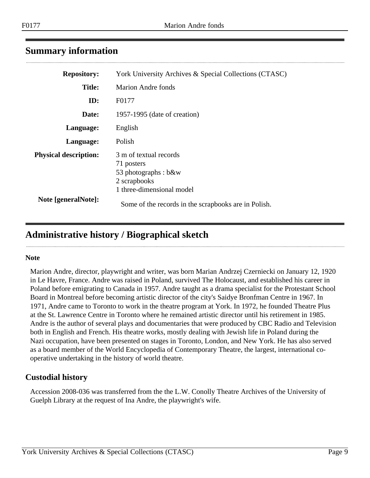## <span id="page-8-0"></span>**Summary information**

| <b>Repository:</b>           | York University Archives & Special Collections (CTASC)                                                    |
|------------------------------|-----------------------------------------------------------------------------------------------------------|
| <b>Title:</b>                | <b>Marion Andre fonds</b>                                                                                 |
| ID:                          | F0177                                                                                                     |
| Date:                        | 1957-1995 (date of creation)                                                                              |
| Language:                    | English                                                                                                   |
| Language:                    | Polish                                                                                                    |
| <b>Physical description:</b> | 3 m of textual records<br>71 posters<br>53 photographs : b&w<br>2 scrapbooks<br>1 three-dimensional model |
| Note [generalNote]:          | Some of the records in the scrapbooks are in Polish.                                                      |

# <span id="page-8-1"></span>**Administrative history / Biographical sketch**

#### **Note**

Marion Andre, director, playwright and writer, was born Marian Andrzej Czerniecki on January 12, 1920 in Le Havre, France. Andre was raised in Poland, survived The Holocaust, and established his career in Poland before emigrating to Canada in 1957. Andre taught as a drama specialist for the Protestant School Board in Montreal before becoming artistic director of the city's Saidye Bronfman Centre in 1967. In 1971, Andre came to Toronto to work in the theatre program at York. In 1972, he founded Theatre Plus at the St. Lawrence Centre in Toronto where he remained artistic director until his retirement in 1985. Andre is the author of several plays and documentaries that were produced by CBC Radio and Television both in English and French. His theatre works, mostly dealing with Jewish life in Poland during the Nazi occupation, have been presented on stages in Toronto, London, and New York. He has also served as a board member of the World Encyclopedia of Contemporary Theatre, the largest, international cooperative undertaking in the history of world theatre.

## **Custodial history**

Accession 2008-036 was transferred from the the L.W. Conolly Theatre Archives of the University of Guelph Library at the request of Ina Andre, the playwright's wife.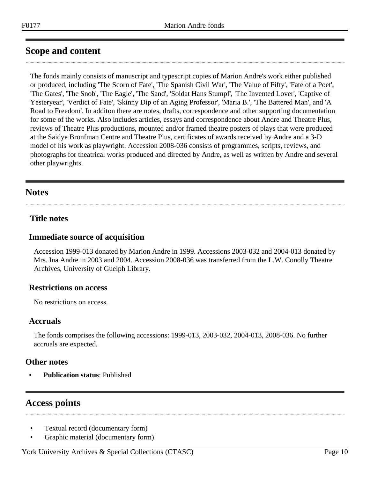# <span id="page-9-0"></span>**Scope and content**

The fonds mainly consists of manuscript and typescript copies of Marion Andre's work either published or produced, including 'The Scorn of Fate', 'The Spanish Civil War', 'The Value of Fifty', 'Fate of a Poet', 'The Gates', 'The Snob', 'The Eagle', 'The Sand', 'Soldat Hans Stumpf', 'The Invented Lover', 'Captive of Yesteryear', 'Verdict of Fate', 'Skinny Dip of an Aging Professor', 'Maria B.', 'The Battered Man', and 'A Road to Freedom'. In additon there are notes, drafts, correspondence and other supporting documentation for some of the works. Also includes articles, essays and correspondence about Andre and Theatre Plus, reviews of Theatre Plus productions, mounted and/or framed theatre posters of plays that were produced at the Saidye Bronfman Centre and Theatre Plus, certificates of awards received by Andre and a 3-D model of his work as playwright. Accession 2008-036 consists of programmes, scripts, reviews, and photographs for theatrical works produced and directed by Andre, as well as written by Andre and several other playwrights.

## <span id="page-9-1"></span>**Notes**

### **Title notes**

#### **Immediate source of acquisition**

Accession 1999-013 donated by Marion Andre in 1999. Accessions 2003-032 and 2004-013 donated by Mrs. Ina Andre in 2003 and 2004. Accession 2008-036 was transferred from the L.W. Conolly Theatre Archives, University of Guelph Library.

### **Restrictions on access**

No restrictions on access.

#### **Accruals**

The fonds comprises the following accessions: 1999-013, 2003-032, 2004-013, 2008-036. No further accruals are expected.

### **Other notes**

• **Publication status**: Published

## <span id="page-9-2"></span>**Access points**

- Textual record (documentary form)
- Graphic material (documentary form)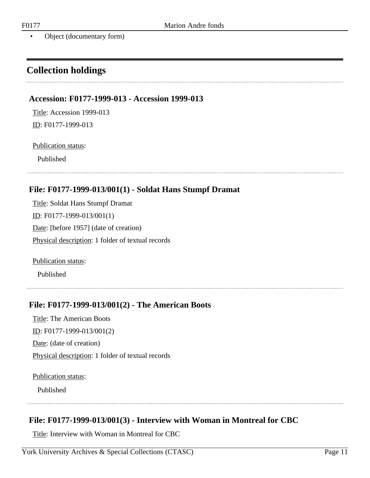• Object (documentary form)

# <span id="page-10-0"></span>**Collection holdings**

#### <span id="page-10-1"></span>**Accession: F0177-1999-013 - Accession 1999-013**

Title: Accession 1999-013

#### Publication status:

ID: F0177-1999-013

Published

#### <span id="page-10-2"></span>**File: F0177-1999-013/001(1) - Soldat Hans Stumpf Dramat**

Title: Soldat Hans Stumpf Dramat ID: F0177-1999-013/001(1) Date: [before 1957] (date of creation) Physical description: 1 folder of textual records

Publication status:

Published

### <span id="page-10-3"></span>**File: F0177-1999-013/001(2) - The American Boots**

Title: The American Boots ID: F0177-1999-013/001(2) Date: (date of creation) Physical description: 1 folder of textual records

Publication status:

Published

### <span id="page-10-4"></span>**File: F0177-1999-013/001(3) - Interview with Woman in Montreal for CBC**

Title: Interview with Woman in Montreal for CBC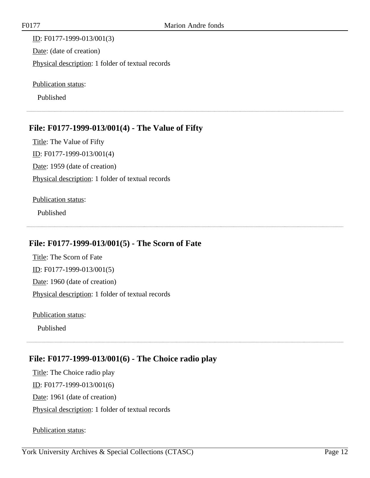ID: F0177-1999-013/001(3) Date: (date of creation) Physical description: 1 folder of textual records

Publication status:

Published

## <span id="page-11-0"></span>**File: F0177-1999-013/001(4) - The Value of Fifty**

Title: The Value of Fifty ID: F0177-1999-013/001(4) Date: 1959 (date of creation) Physical description: 1 folder of textual records

#### Publication status:

Published

## <span id="page-11-1"></span>**File: F0177-1999-013/001(5) - The Scorn of Fate**

Title: The Scorn of Fate ID: F0177-1999-013/001(5) Date: 1960 (date of creation) Physical description: 1 folder of textual records

Publication status:

Published

### <span id="page-11-2"></span>**File: F0177-1999-013/001(6) - The Choice radio play**

Title: The Choice radio play ID: F0177-1999-013/001(6) Date: 1961 (date of creation) Physical description: 1 folder of textual records

Publication status: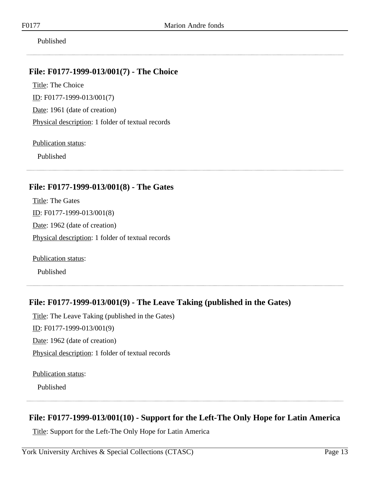Published

#### <span id="page-12-0"></span>**File: F0177-1999-013/001(7) - The Choice**

Title: The Choice ID: F0177-1999-013/001(7) Date: 1961 (date of creation) Physical description: 1 folder of textual records

Publication status:

Published

## <span id="page-12-1"></span>**File: F0177-1999-013/001(8) - The Gates**

Title: The Gates ID: F0177-1999-013/001(8) Date: 1962 (date of creation) Physical description: 1 folder of textual records

Publication status:

Published

## <span id="page-12-2"></span>**File: F0177-1999-013/001(9) - The Leave Taking (published in the Gates)**

Title: The Leave Taking (published in the Gates) ID: F0177-1999-013/001(9) Date: 1962 (date of creation) Physical description: 1 folder of textual records

Publication status:

Published

### <span id="page-12-3"></span>**File: F0177-1999-013/001(10) - Support for the Left-The Only Hope for Latin America**

Title: Support for the Left-The Only Hope for Latin America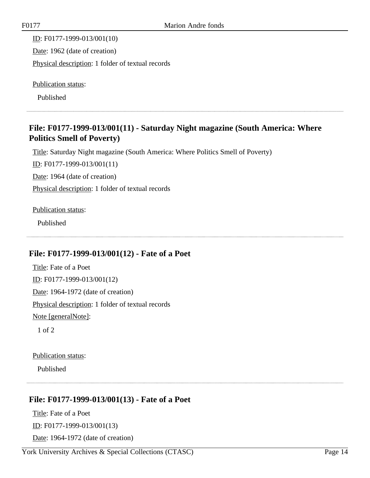ID: F0177-1999-013/001(10) Date: 1962 (date of creation) Physical description: 1 folder of textual records

Publication status:

Published

## <span id="page-13-0"></span>**File: F0177-1999-013/001(11) - Saturday Night magazine (South America: Where Politics Smell of Poverty)**

Title: Saturday Night magazine (South America: Where Politics Smell of Poverty)

ID: F0177-1999-013/001(11)

Date: 1964 (date of creation)

Physical description: 1 folder of textual records

Publication status:

Published

### <span id="page-13-1"></span>**File: F0177-1999-013/001(12) - Fate of a Poet**

Title: Fate of a Poet ID: F0177-1999-013/001(12) Date: 1964-1972 (date of creation) Physical description: 1 folder of textual records Note [generalNote]:

1 of 2

#### Publication status:

Published

# <span id="page-13-2"></span>**File: F0177-1999-013/001(13) - Fate of a Poet**

Title: Fate of a Poet ID: F0177-1999-013/001(13) Date: 1964-1972 (date of creation)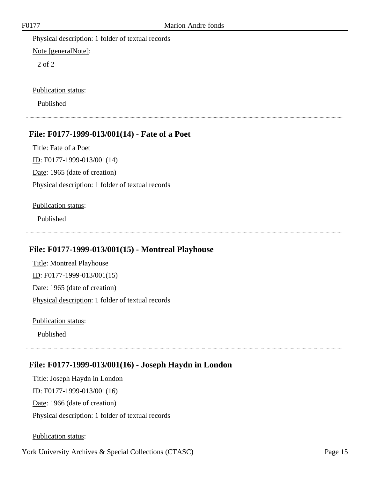Physical description: 1 folder of textual records Note [generalNote]:

2 of 2

Publication status:

Published

#### <span id="page-14-0"></span>**File: F0177-1999-013/001(14) - Fate of a Poet**

Title: Fate of a Poet ID: F0177-1999-013/001(14) Date: 1965 (date of creation) Physical description: 1 folder of textual records

#### Publication status:

Published

### <span id="page-14-1"></span>**File: F0177-1999-013/001(15) - Montreal Playhouse**

Title: Montreal Playhouse ID: F0177-1999-013/001(15) Date: 1965 (date of creation) Physical description: 1 folder of textual records

Publication status:

Published

### <span id="page-14-2"></span>**File: F0177-1999-013/001(16) - Joseph Haydn in London**

Title: Joseph Haydn in London ID: F0177-1999-013/001(16) Date: 1966 (date of creation) Physical description: 1 folder of textual records

Publication status: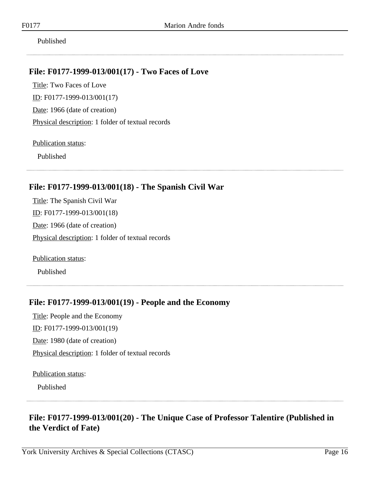Published

## <span id="page-15-0"></span>**File: F0177-1999-013/001(17) - Two Faces of Love**

Title: Two Faces of Love ID: F0177-1999-013/001(17) Date: 1966 (date of creation) Physical description: 1 folder of textual records

Publication status:

Published

## <span id="page-15-1"></span>**File: F0177-1999-013/001(18) - The Spanish Civil War**

Title: The Spanish Civil War ID: F0177-1999-013/001(18) Date: 1966 (date of creation) Physical description: 1 folder of textual records

Publication status:

Published

### <span id="page-15-2"></span>**File: F0177-1999-013/001(19) - People and the Economy**

Title: People and the Economy ID: F0177-1999-013/001(19) Date: 1980 (date of creation) Physical description: 1 folder of textual records

Publication status:

Published

# <span id="page-15-3"></span>**File: F0177-1999-013/001(20) - The Unique Case of Professor Talentire (Published in the Verdict of Fate)**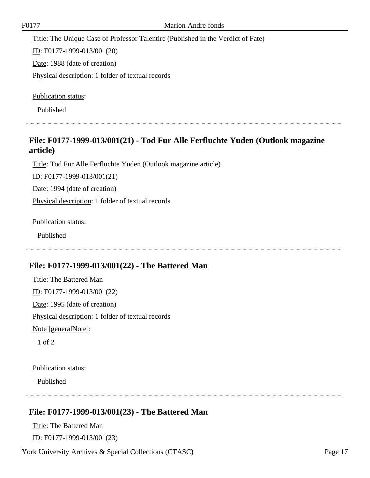Title: The Unique Case of Professor Talentire (Published in the Verdict of Fate)

ID: F0177-1999-013/001(20)

Date: 1988 (date of creation)

Physical description: 1 folder of textual records

Publication status:

Published

## <span id="page-16-0"></span>**File: F0177-1999-013/001(21) - Tod Fur Alle Ferfluchte Yuden (Outlook magazine article)**

Title: Tod Fur Alle Ferfluchte Yuden (Outlook magazine article)

ID: F0177-1999-013/001(21)

Date: 1994 (date of creation)

Physical description: 1 folder of textual records

Publication status:

Published

### <span id="page-16-1"></span>**File: F0177-1999-013/001(22) - The Battered Man**

Title: The Battered Man ID: F0177-1999-013/001(22) Date: 1995 (date of creation) Physical description: 1 folder of textual records Note [generalNote]:

1 of 2

Publication status:

Published

## <span id="page-16-2"></span>**File: F0177-1999-013/001(23) - The Battered Man**

Title: The Battered Man ID: F0177-1999-013/001(23)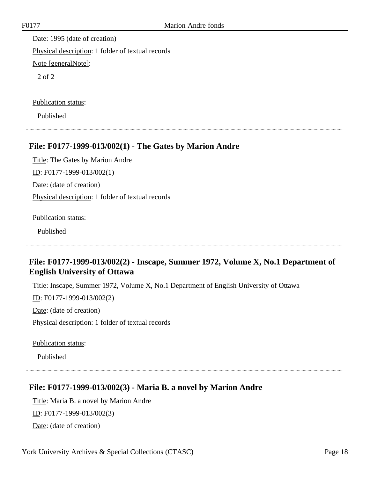Date: 1995 (date of creation) Physical description: 1 folder of textual records Note [generalNote]: 2 of 2

Publication status:

Published

### <span id="page-17-0"></span>**File: F0177-1999-013/002(1) - The Gates by Marion Andre**

Title: The Gates by Marion Andre ID: F0177-1999-013/002(1) Date: (date of creation) Physical description: 1 folder of textual records

Publication status:

Published

## <span id="page-17-1"></span>**File: F0177-1999-013/002(2) - Inscape, Summer 1972, Volume X, No.1 Department of English University of Ottawa**

Title: Inscape, Summer 1972, Volume X, No.1 Department of English University of Ottawa ID: F0177-1999-013/002(2) Date: (date of creation) Physical description: 1 folder of textual records

Publication status:

Published

### <span id="page-17-2"></span>**File: F0177-1999-013/002(3) - Maria B. a novel by Marion Andre**

Title: Maria B. a novel by Marion Andre ID: F0177-1999-013/002(3) Date: (date of creation)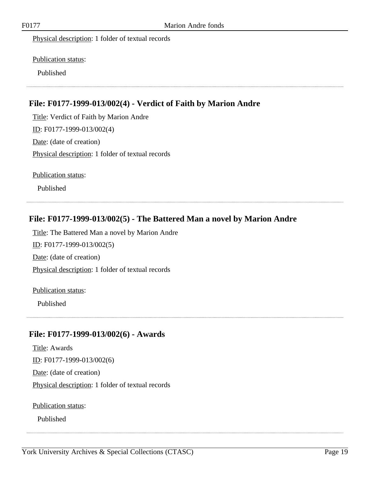Physical description: 1 folder of textual records

Publication status:

Published

## <span id="page-18-0"></span>**File: F0177-1999-013/002(4) - Verdict of Faith by Marion Andre**

Title: Verdict of Faith by Marion Andre ID: F0177-1999-013/002(4) Date: (date of creation) Physical description: 1 folder of textual records

Publication status:

Published

## <span id="page-18-1"></span>**File: F0177-1999-013/002(5) - The Battered Man a novel by Marion Andre**

Title: The Battered Man a novel by Marion Andre ID: F0177-1999-013/002(5) Date: (date of creation) Physical description: 1 folder of textual records Publication status:

Published

### <span id="page-18-2"></span>**File: F0177-1999-013/002(6) - Awards**

Title: Awards ID: F0177-1999-013/002(6) Date: (date of creation) Physical description: 1 folder of textual records

Publication status:

Published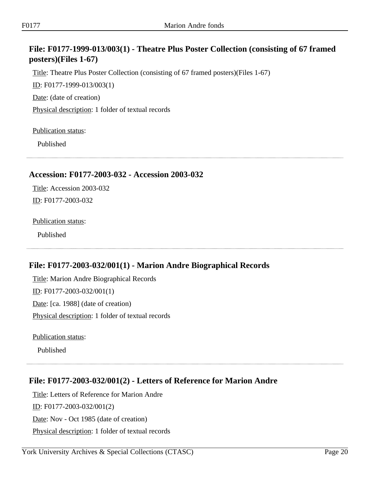## <span id="page-19-0"></span>**File: F0177-1999-013/003(1) - Theatre Plus Poster Collection (consisting of 67 framed posters)(Files 1-67)**

Title: Theatre Plus Poster Collection (consisting of 67 framed posters)(Files 1-67)

ID: F0177-1999-013/003(1)

Date: (date of creation)

Physical description: 1 folder of textual records

Publication status:

Published

#### <span id="page-19-1"></span>**Accession: F0177-2003-032 - Accession 2003-032**

Title: Accession 2003-032 ID: F0177-2003-032

#### Publication status:

Published

### <span id="page-19-2"></span>**File: F0177-2003-032/001(1) - Marion Andre Biographical Records**

Title: Marion Andre Biographical Records ID: F0177-2003-032/001(1) Date: [ca. 1988] (date of creation) Physical description: 1 folder of textual records

Publication status:

Published

## <span id="page-19-3"></span>**File: F0177-2003-032/001(2) - Letters of Reference for Marion Andre**

Title: Letters of Reference for Marion Andre

 $ID:$  F0177-2003-032/001(2)

Date: Nov - Oct 1985 (date of creation)

Physical description: 1 folder of textual records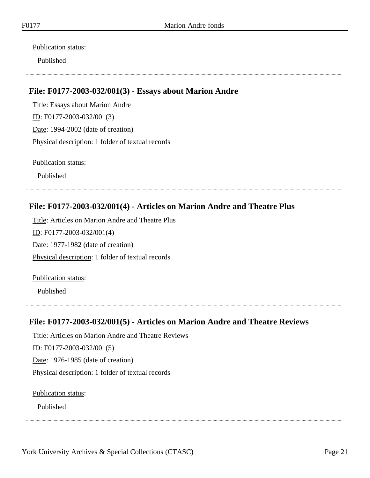Publication status:

Published

## <span id="page-20-0"></span>**File: F0177-2003-032/001(3) - Essays about Marion Andre**

Title: Essays about Marion Andre ID: F0177-2003-032/001(3) Date: 1994-2002 (date of creation) Physical description: 1 folder of textual records

Publication status:

Published

### <span id="page-20-1"></span>**File: F0177-2003-032/001(4) - Articles on Marion Andre and Theatre Plus**

Title: Articles on Marion Andre and Theatre Plus ID: F0177-2003-032/001(4) Date: 1977-1982 (date of creation) Physical description: 1 folder of textual records

Publication status:

Published

### <span id="page-20-2"></span>**File: F0177-2003-032/001(5) - Articles on Marion Andre and Theatre Reviews**

Title: Articles on Marion Andre and Theatre Reviews ID: F0177-2003-032/001(5) Date: 1976-1985 (date of creation) Physical description: 1 folder of textual records

Publication status:

Published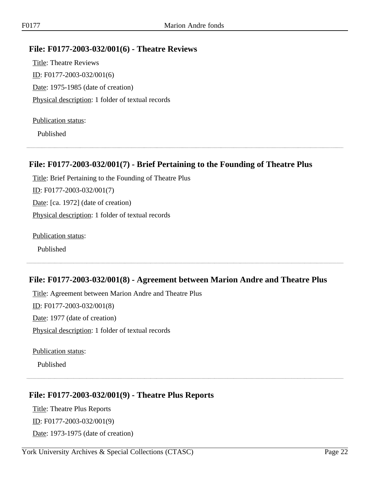#### <span id="page-21-0"></span>**File: F0177-2003-032/001(6) - Theatre Reviews**

Title: Theatre Reviews ID: F0177-2003-032/001(6) Date: 1975-1985 (date of creation) Physical description: 1 folder of textual records

#### Publication status:

Published

#### <span id="page-21-1"></span>**File: F0177-2003-032/001(7) - Brief Pertaining to the Founding of Theatre Plus**

Title: Brief Pertaining to the Founding of Theatre Plus ID: F0177-2003-032/001(7) Date: [ca. 1972] (date of creation) Physical description: 1 folder of textual records

Publication status:

Published

#### <span id="page-21-2"></span>**File: F0177-2003-032/001(8) - Agreement between Marion Andre and Theatre Plus**

Title: Agreement between Marion Andre and Theatre Plus ID: F0177-2003-032/001(8) Date: 1977 (date of creation) Physical description: 1 folder of textual records

Publication status:

Published

#### <span id="page-21-3"></span>**File: F0177-2003-032/001(9) - Theatre Plus Reports**

Title: Theatre Plus Reports ID: F0177-2003-032/001(9) Date: 1973-1975 (date of creation)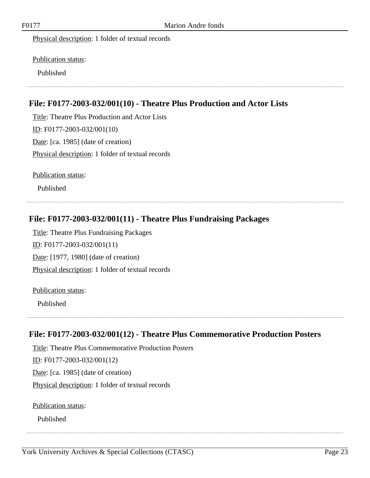Physical description: 1 folder of textual records

Publication status:

Published

## <span id="page-22-0"></span>**File: F0177-2003-032/001(10) - Theatre Plus Production and Actor Lists**

Title: Theatre Plus Production and Actor Lists ID: F0177-2003-032/001(10) Date: [ca. 1985] (date of creation) Physical description: 1 folder of textual records

Publication status:

Published

## <span id="page-22-1"></span>**File: F0177-2003-032/001(11) - Theatre Plus Fundraising Packages**

Title: Theatre Plus Fundraising Packages ID: F0177-2003-032/001(11) Date: [1977, 1980] (date of creation) Physical description: 1 folder of textual records

#### Publication status:

Published

## <span id="page-22-2"></span>**File: F0177-2003-032/001(12) - Theatre Plus Commemorative Production Posters**

Title: Theatre Plus Commemorative Production Posters ID: F0177-2003-032/001(12) Date: [ca. 1985] (date of creation) Physical description: 1 folder of textual records

Publication status:

Published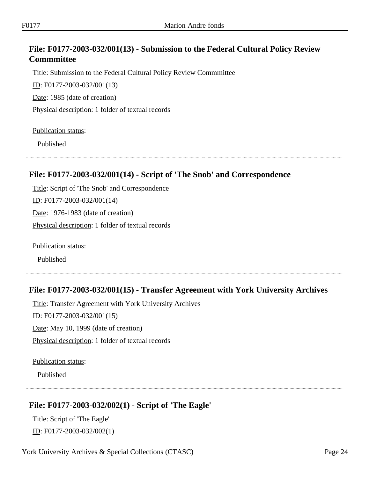## <span id="page-23-0"></span>**File: F0177-2003-032/001(13) - Submission to the Federal Cultural Policy Review Commmittee**

Title: Submission to the Federal Cultural Policy Review Commmittee ID: F0177-2003-032/001(13)

Date: 1985 (date of creation)

Physical description: 1 folder of textual records

Publication status:

Published

## <span id="page-23-1"></span>**File: F0177-2003-032/001(14) - Script of 'The Snob' and Correspondence**

Title: Script of 'The Snob' and Correspondence ID: F0177-2003-032/001(14) Date: 1976-1983 (date of creation) Physical description: 1 folder of textual records

Publication status:

Published

## <span id="page-23-2"></span>**File: F0177-2003-032/001(15) - Transfer Agreement with York University Archives**

Title: Transfer Agreement with York University Archives ID: F0177-2003-032/001(15) Date: May 10, 1999 (date of creation) Physical description: 1 folder of textual records

Publication status:

Published

## <span id="page-23-3"></span>**File: F0177-2003-032/002(1) - Script of 'The Eagle'**

Title: Script of 'The Eagle' ID: F0177-2003-032/002(1)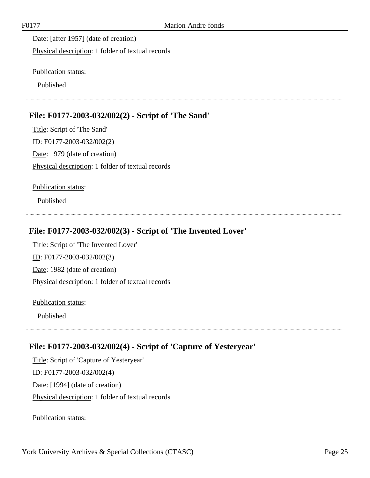Date: [after 1957] (date of creation) Physical description: 1 folder of textual records

Publication status:

Published

## <span id="page-24-0"></span>**File: F0177-2003-032/002(2) - Script of 'The Sand'**

Title: Script of 'The Sand' ID: F0177-2003-032/002(2) Date: 1979 (date of creation) Physical description: 1 folder of textual records

Publication status:

Published

## <span id="page-24-1"></span>**File: F0177-2003-032/002(3) - Script of 'The Invented Lover'**

Title: Script of 'The Invented Lover' ID: F0177-2003-032/002(3) Date: 1982 (date of creation) Physical description: 1 folder of textual records

Publication status:

Published

## <span id="page-24-2"></span>**File: F0177-2003-032/002(4) - Script of 'Capture of Yesteryear'**

Title: Script of 'Capture of Yesteryear' ID: F0177-2003-032/002(4) Date: [1994] (date of creation) Physical description: 1 folder of textual records

Publication status: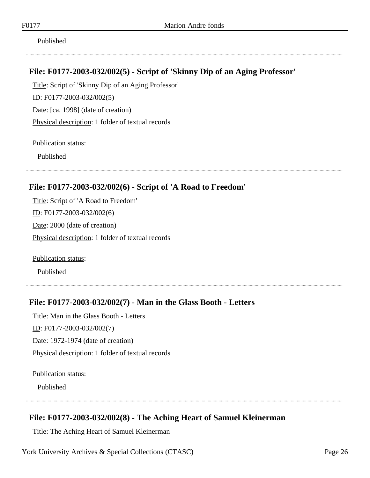Published

## <span id="page-25-0"></span>**File: F0177-2003-032/002(5) - Script of 'Skinny Dip of an Aging Professor'**

Title: Script of 'Skinny Dip of an Aging Professor' ID: F0177-2003-032/002(5) Date: [ca. 1998] (date of creation) Physical description: 1 folder of textual records

Publication status:

Published

## <span id="page-25-1"></span>**File: F0177-2003-032/002(6) - Script of 'A Road to Freedom'**

Title: Script of 'A Road to Freedom' ID: F0177-2003-032/002(6) Date: 2000 (date of creation) Physical description: 1 folder of textual records

Publication status:

Published

### <span id="page-25-2"></span>**File: F0177-2003-032/002(7) - Man in the Glass Booth - Letters**

Title: Man in the Glass Booth - Letters ID: F0177-2003-032/002(7) Date: 1972-1974 (date of creation) Physical description: 1 folder of textual records

Publication status:

Published

## <span id="page-25-3"></span>**File: F0177-2003-032/002(8) - The Aching Heart of Samuel Kleinerman**

Title: The Aching Heart of Samuel Kleinerman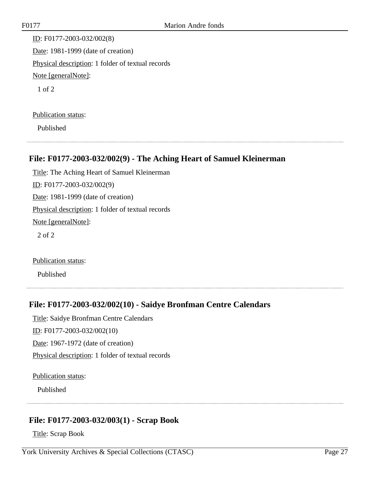ID: F0177-2003-032/002(8) Date: 1981-1999 (date of creation) Physical description: 1 folder of textual records Note [generalNote]: 1 of 2

#### Publication status:

Published

### <span id="page-26-0"></span>**File: F0177-2003-032/002(9) - The Aching Heart of Samuel Kleinerman**

Title: The Aching Heart of Samuel Kleinerman ID: F0177-2003-032/002(9) Date: 1981-1999 (date of creation) Physical description: 1 folder of textual records Note [generalNote]: 2 of 2

Publication status:

Published

## <span id="page-26-1"></span>**File: F0177-2003-032/002(10) - Saidye Bronfman Centre Calendars**

Title: Saidye Bronfman Centre Calendars ID: F0177-2003-032/002(10)

Date: 1967-1972 (date of creation)

Physical description: 1 folder of textual records

Publication status:

Published

### <span id="page-26-2"></span>**File: F0177-2003-032/003(1) - Scrap Book**

Title: Scrap Book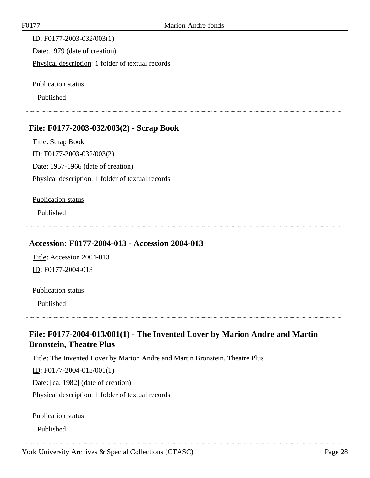ID: F0177-2003-032/003(1) Date: 1979 (date of creation) Physical description: 1 folder of textual records

Publication status:

Published

### <span id="page-27-0"></span>**File: F0177-2003-032/003(2) - Scrap Book**

Title: Scrap Book ID: F0177-2003-032/003(2) Date: 1957-1966 (date of creation) Physical description: 1 folder of textual records

#### Publication status:

Published

#### <span id="page-27-1"></span>**Accession: F0177-2004-013 - Accession 2004-013**

Title: Accession 2004-013 ID: F0177-2004-013

#### Publication status:

Published

## <span id="page-27-2"></span>**File: F0177-2004-013/001(1) - The Invented Lover by Marion Andre and Martin Bronstein, Theatre Plus**

Title: The Invented Lover by Marion Andre and Martin Bronstein, Theatre Plus ID: F0177-2004-013/001(1)

Date: [ca. 1982] (date of creation)

Physical description: 1 folder of textual records

Publication status:

Published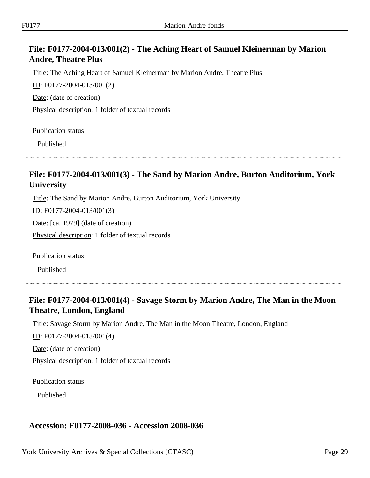## <span id="page-28-0"></span>**File: F0177-2004-013/001(2) - The Aching Heart of Samuel Kleinerman by Marion Andre, Theatre Plus**

Title: The Aching Heart of Samuel Kleinerman by Marion Andre, Theatre Plus

ID: F0177-2004-013/001(2)

Date: (date of creation)

Physical description: 1 folder of textual records

Publication status:

Published

## <span id="page-28-1"></span>**File: F0177-2004-013/001(3) - The Sand by Marion Andre, Burton Auditorium, York University**

Title: The Sand by Marion Andre, Burton Auditorium, York University

ID: F0177-2004-013/001(3)

Date: [ca. 1979] (date of creation)

Physical description: 1 folder of textual records

Publication status:

Published

## <span id="page-28-2"></span>**File: F0177-2004-013/001(4) - Savage Storm by Marion Andre, The Man in the Moon Theatre, London, England**

Title: Savage Storm by Marion Andre, The Man in the Moon Theatre, London, England

ID: F0177-2004-013/001(4)

Date: (date of creation)

Physical description: 1 folder of textual records

Publication status:

Published

### <span id="page-28-3"></span>**Accession: F0177-2008-036 - Accession 2008-036**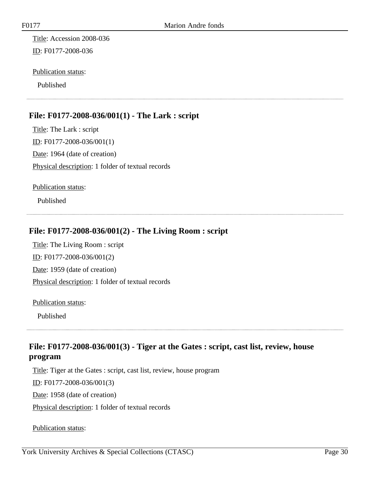Title: Accession 2008-036 ID: F0177-2008-036

#### Publication status:

Published

## <span id="page-29-0"></span>**File: F0177-2008-036/001(1) - The Lark : script**

Title: The Lark : script ID: F0177-2008-036/001(1) Date: 1964 (date of creation) Physical description: 1 folder of textual records

Publication status:

Published

### <span id="page-29-1"></span>**File: F0177-2008-036/001(2) - The Living Room : script**

Title: The Living Room : script ID: F0177-2008-036/001(2) Date: 1959 (date of creation) Physical description: 1 folder of textual records

Publication status:

Published

## <span id="page-29-2"></span>**File: F0177-2008-036/001(3) - Tiger at the Gates : script, cast list, review, house program**

Title: Tiger at the Gates : script, cast list, review, house program

ID: F0177-2008-036/001(3)

Date: 1958 (date of creation)

Physical description: 1 folder of textual records

Publication status: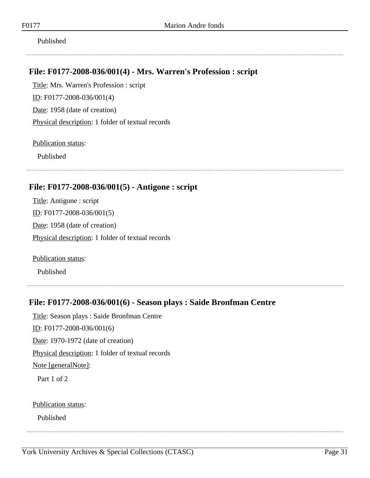Published

## <span id="page-30-0"></span>**File: F0177-2008-036/001(4) - Mrs. Warren's Profession : script**

Title: Mrs. Warren's Profession : script ID: F0177-2008-036/001(4) Date: 1958 (date of creation) Physical description: 1 folder of textual records

Publication status:

Published

## <span id="page-30-1"></span>**File: F0177-2008-036/001(5) - Antigone : script**

Title: Antigone : script ID: F0177-2008-036/001(5) Date: 1958 (date of creation) Physical description: 1 folder of textual records

Publication status:

Published

### <span id="page-30-2"></span>**File: F0177-2008-036/001(6) - Season plays : Saide Bronfman Centre**

Title: Season plays : Saide Bronfman Centre ID: F0177-2008-036/001(6) Date: 1970-1972 (date of creation) Physical description: 1 folder of textual records Note [generalNote]: Part 1 of 2

Publication status:

Published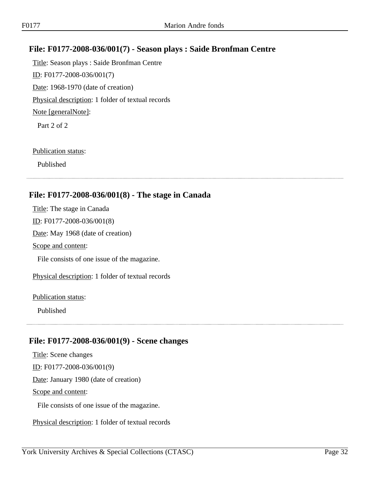## <span id="page-31-0"></span>**File: F0177-2008-036/001(7) - Season plays : Saide Bronfman Centre**

Title: Season plays : Saide Bronfman Centre ID: F0177-2008-036/001(7) Date: 1968-1970 (date of creation) Physical description: 1 folder of textual records Note [generalNote]: Part 2 of 2

#### Publication status:

Published

## <span id="page-31-1"></span>**File: F0177-2008-036/001(8) - The stage in Canada**

Title: The stage in Canada  $ID:$  F0177-2008-036/001(8) Date: May 1968 (date of creation) Scope and content: File consists of one issue of the magazine. Physical description: 1 folder of textual records Publication status:

Published

## <span id="page-31-2"></span>**File: F0177-2008-036/001(9) - Scene changes**

Title: Scene changes ID: F0177-2008-036/001(9) Date: January 1980 (date of creation) Scope and content: File consists of one issue of the magazine.

Physical description: 1 folder of textual records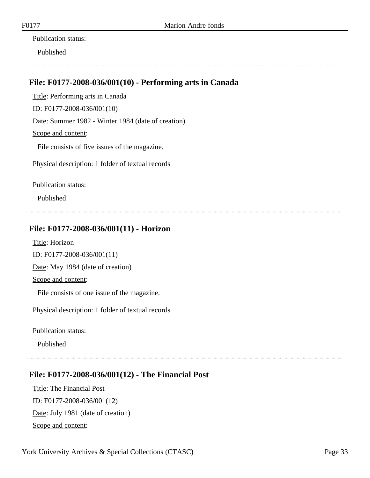#### Publication status:

Published

## <span id="page-32-0"></span>**File: F0177-2008-036/001(10) - Performing arts in Canada**

Title: Performing arts in Canada

ID: F0177-2008-036/001(10)

Date: Summer 1982 - Winter 1984 (date of creation)

Scope and content:

File consists of five issues of the magazine.

Physical description: 1 folder of textual records

Publication status:

Published

## <span id="page-32-1"></span>**File: F0177-2008-036/001(11) - Horizon**

Title: Horizon ID: F0177-2008-036/001(11) Date: May 1984 (date of creation) Scope and content:

File consists of one issue of the magazine.

Physical description: 1 folder of textual records

Publication status:

Published

## <span id="page-32-2"></span>**File: F0177-2008-036/001(12) - The Financial Post**

Title: The Financial Post ID: F0177-2008-036/001(12) Date: July 1981 (date of creation) Scope and content: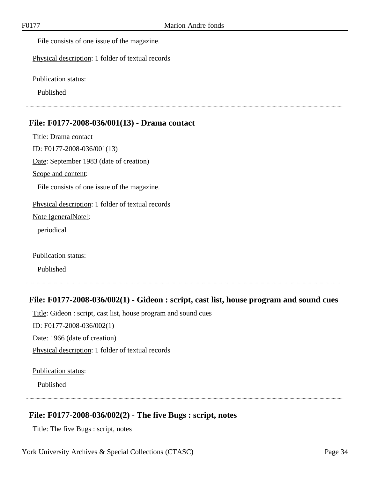File consists of one issue of the magazine.

Physical description: 1 folder of textual records

Publication status:

Published

#### <span id="page-33-0"></span>**File: F0177-2008-036/001(13) - Drama contact**

Title: Drama contact ID: F0177-2008-036/001(13) Date: September 1983 (date of creation) Scope and content: File consists of one issue of the magazine. Physical description: 1 folder of textual records Note [generalNote]: periodical

Publication status:

Published

#### <span id="page-33-1"></span>**File: F0177-2008-036/002(1) - Gideon : script, cast list, house program and sound cues**

Title: Gideon : script, cast list, house program and sound cues

ID: F0177-2008-036/002(1)

Date: 1966 (date of creation)

Physical description: 1 folder of textual records

Publication status:

Published

### <span id="page-33-2"></span>**File: F0177-2008-036/002(2) - The five Bugs : script, notes**

Title: The five Bugs : script, notes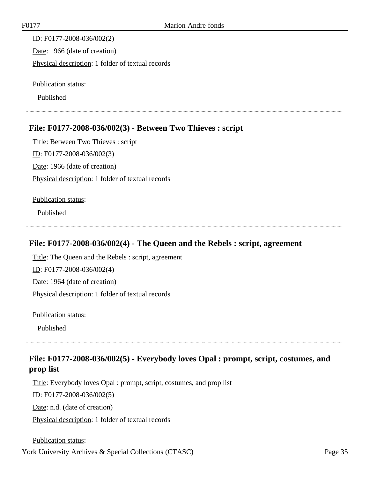ID: F0177-2008-036/002(2) Date: 1966 (date of creation) Physical description: 1 folder of textual records

Publication status:

Published

## <span id="page-34-0"></span>**File: F0177-2008-036/002(3) - Between Two Thieves : script**

Title: Between Two Thieves : script ID: F0177-2008-036/002(3) Date: 1966 (date of creation) Physical description: 1 folder of textual records

Publication status:

Published

## <span id="page-34-1"></span>**File: F0177-2008-036/002(4) - The Queen and the Rebels : script, agreement**

Title: The Queen and the Rebels : script, agreement ID: F0177-2008-036/002(4) Date: 1964 (date of creation) Physical description: 1 folder of textual records

Publication status:

Published

## <span id="page-34-2"></span>**File: F0177-2008-036/002(5) - Everybody loves Opal : prompt, script, costumes, and prop list**

Title: Everybody loves Opal : prompt, script, costumes, and prop list ID: F0177-2008-036/002(5) Date: n.d. (date of creation) Physical description: 1 folder of textual records

Publication status: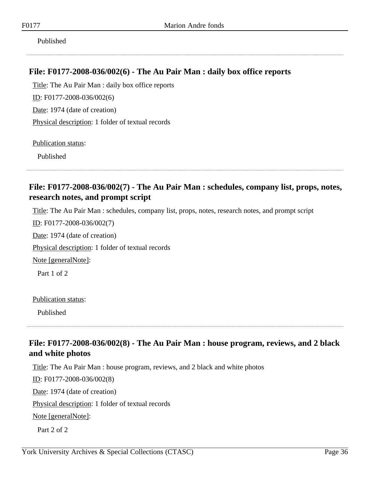Published

## <span id="page-35-0"></span>**File: F0177-2008-036/002(6) - The Au Pair Man : daily box office reports**

Title: The Au Pair Man : daily box office reports ID: F0177-2008-036/002(6) Date: 1974 (date of creation) Physical description: 1 folder of textual records

Publication status:

Published

## <span id="page-35-1"></span>**File: F0177-2008-036/002(7) - The Au Pair Man : schedules, company list, props, notes, research notes, and prompt script**

Title: The Au Pair Man : schedules, company list, props, notes, research notes, and prompt script

ID: F0177-2008-036/002(7)

Date: 1974 (date of creation)

Physical description: 1 folder of textual records

Note [generalNote]:

Part 1 of 2

Publication status:

Published

## <span id="page-35-2"></span>**File: F0177-2008-036/002(8) - The Au Pair Man : house program, reviews, and 2 black and white photos**

Title: The Au Pair Man : house program, reviews, and 2 black and white photos

ID: F0177-2008-036/002(8)

Date: 1974 (date of creation)

Physical description: 1 folder of textual records

Note [generalNote]:

Part 2 of 2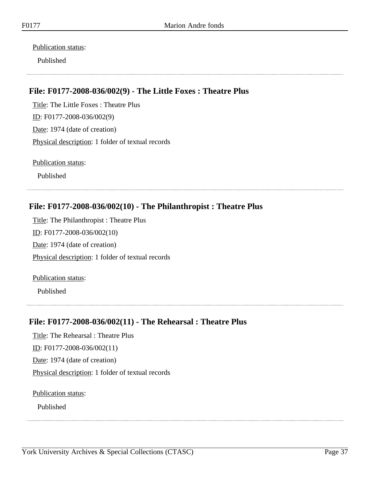Publication status:

Published

# **File: F0177-2008-036/002(9) - The Little Foxes : Theatre Plus**

Title: The Little Foxes : Theatre Plus ID: F0177-2008-036/002(9) Date: 1974 (date of creation) Physical description: 1 folder of textual records

Publication status:

Published

#### **File: F0177-2008-036/002(10) - The Philanthropist : Theatre Plus**

Title: The Philanthropist : Theatre Plus ID: F0177-2008-036/002(10) Date: 1974 (date of creation) Physical description: 1 folder of textual records

Publication status:

Published

#### **File: F0177-2008-036/002(11) - The Rehearsal : Theatre Plus**

Title: The Rehearsal : Theatre Plus ID: F0177-2008-036/002(11) Date: 1974 (date of creation) Physical description: 1 folder of textual records

Publication status: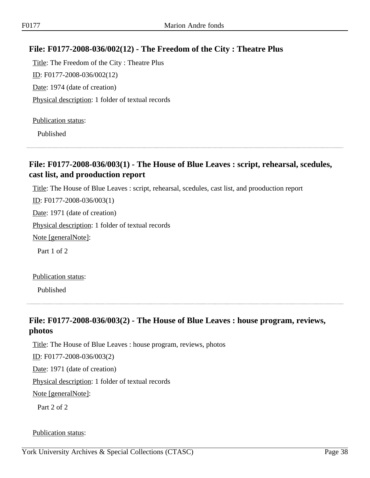#### **File: F0177-2008-036/002(12) - The Freedom of the City : Theatre Plus**

Title: The Freedom of the City : Theatre Plus ID: F0177-2008-036/002(12) Date: 1974 (date of creation) Physical description: 1 folder of textual records

Publication status:

Published

#### **File: F0177-2008-036/003(1) - The House of Blue Leaves : script, rehearsal, scedules, cast list, and prooduction report**

Title: The House of Blue Leaves : script, rehearsal, scedules, cast list, and prooduction report

ID: F0177-2008-036/003(1) Date: 1971 (date of creation) Physical description: 1 folder of textual records Note [generalNote]: Part 1 of 2

Publication status:

Published

#### **File: F0177-2008-036/003(2) - The House of Blue Leaves : house program, reviews, photos**

Title: The House of Blue Leaves : house program, reviews, photos

ID: F0177-2008-036/003(2)

Date: 1971 (date of creation)

Physical description: 1 folder of textual records

Note [generalNote]:

Part 2 of 2

#### Publication status: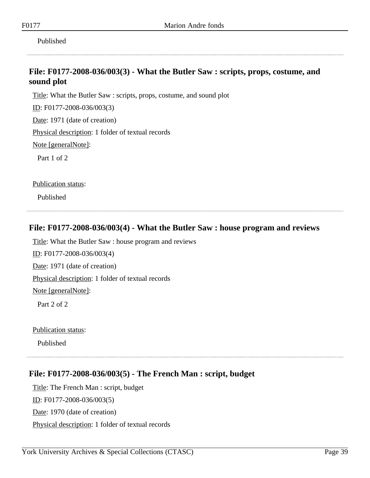Published

#### **File: F0177-2008-036/003(3) - What the Butler Saw : scripts, props, costume, and sound plot**

Title: What the Butler Saw : scripts, props, costume, and sound plot

ID: F0177-2008-036/003(3)

Date: 1971 (date of creation)

Physical description: 1 folder of textual records

Note [generalNote]:

Part 1 of 2

Publication status:

Published

#### **File: F0177-2008-036/003(4) - What the Butler Saw : house program and reviews**

Title: What the Butler Saw : house program and reviews ID: F0177-2008-036/003(4) Date: 1971 (date of creation) Physical description: 1 folder of textual records Note [generalNote]: Part 2 of 2

Publication status:

Published

#### **File: F0177-2008-036/003(5) - The French Man : script, budget**

Title: The French Man : script, budget ID: F0177-2008-036/003(5) Date: 1970 (date of creation) Physical description: 1 folder of textual records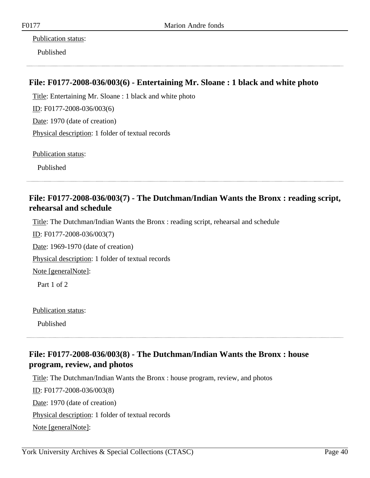Publication status:

Published

#### **File: F0177-2008-036/003(6) - Entertaining Mr. Sloane : 1 black and white photo**

Title: Entertaining Mr. Sloane : 1 black and white photo ID: F0177-2008-036/003(6) Date: 1970 (date of creation) Physical description: 1 folder of textual records

Publication status:

Published

#### **File: F0177-2008-036/003(7) - The Dutchman/Indian Wants the Bronx : reading script, rehearsal and schedule**

Title: The Dutchman/Indian Wants the Bronx : reading script, rehearsal and schedule

ID: F0177-2008-036/003(7)

Date: 1969-1970 (date of creation)

Physical description: 1 folder of textual records

Note [generalNote]:

Part 1 of 2

Publication status:

Published

#### **File: F0177-2008-036/003(8) - The Dutchman/Indian Wants the Bronx : house program, review, and photos**

Title: The Dutchman/Indian Wants the Bronx : house program, review, and photos ID: F0177-2008-036/003(8) Date: 1970 (date of creation) Physical description: 1 folder of textual records Note [generalNote]: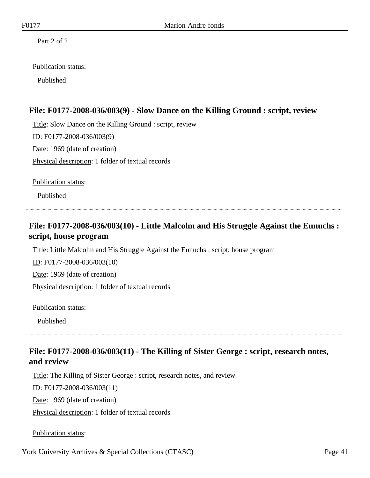Part 2 of 2

#### Publication status:

Published

#### **File: F0177-2008-036/003(9) - Slow Dance on the Killing Ground : script, review**

Title: Slow Dance on the Killing Ground : script, review ID: F0177-2008-036/003(9) Date: 1969 (date of creation) Physical description: 1 folder of textual records

Publication status:

Published

# **File: F0177-2008-036/003(10) - Little Malcolm and His Struggle Against the Eunuchs : script, house program**

Title: Little Malcolm and His Struggle Against the Eunuchs : script, house program

ID: F0177-2008-036/003(10)

Date: 1969 (date of creation)

Physical description: 1 folder of textual records

Publication status:

Published

#### **File: F0177-2008-036/003(11) - The Killing of Sister George : script, research notes, and review**

Title: The Killing of Sister George : script, research notes, and review

ID: F0177-2008-036/003(11)

Date: 1969 (date of creation)

Physical description: 1 folder of textual records

Publication status: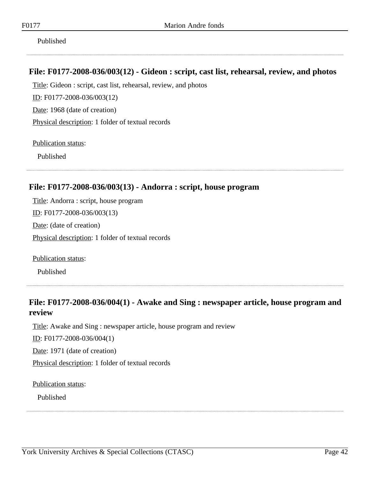Published

#### **File: F0177-2008-036/003(12) - Gideon : script, cast list, rehearsal, review, and photos**

Title: Gideon : script, cast list, rehearsal, review, and photos

ID: F0177-2008-036/003(12)

Date: 1968 (date of creation)

Physical description: 1 folder of textual records

Publication status:

Published

#### **File: F0177-2008-036/003(13) - Andorra : script, house program**

Title: Andorra : script, house program ID: F0177-2008-036/003(13) Date: (date of creation) Physical description: 1 folder of textual records

Publication status:

Published

#### **File: F0177-2008-036/004(1) - Awake and Sing : newspaper article, house program and review**

Title: Awake and Sing : newspaper article, house program and review

ID: F0177-2008-036/004(1)

Date: 1971 (date of creation)

Physical description: 1 folder of textual records

Publication status: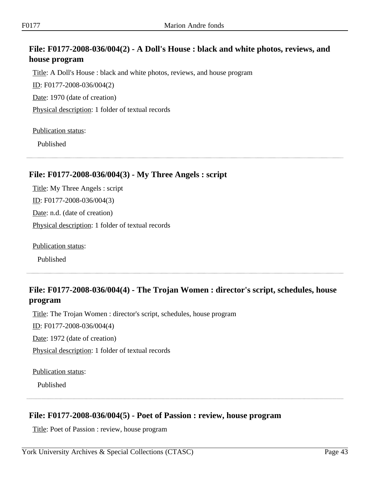# **File: F0177-2008-036/004(2) - A Doll's House : black and white photos, reviews, and house program**

Title: A Doll's House : black and white photos, reviews, and house program

ID: F0177-2008-036/004(2)

Date: 1970 (date of creation)

Physical description: 1 folder of textual records

#### Publication status:

Published

#### **File: F0177-2008-036/004(3) - My Three Angels : script**

Title: My Three Angels : script ID: F0177-2008-036/004(3) Date: n.d. (date of creation) Physical description: 1 folder of textual records

Publication status:

Published

# **File: F0177-2008-036/004(4) - The Trojan Women : director's script, schedules, house program**

Title: The Trojan Women : director's script, schedules, house program

ID: F0177-2008-036/004(4)

Date: 1972 (date of creation)

Physical description: 1 folder of textual records

Publication status:

Published

#### **File: F0177-2008-036/004(5) - Poet of Passion : review, house program**

Title: Poet of Passion : review, house program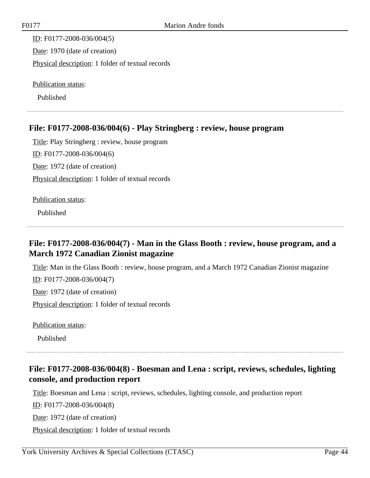ID: F0177-2008-036/004(5) Date: 1970 (date of creation) Physical description: 1 folder of textual records

Publication status:

Published

#### **File: F0177-2008-036/004(6) - Play Stringberg : review, house program**

Title: Play Stringberg : review, house program ID: F0177-2008-036/004(6) Date: 1972 (date of creation) Physical description: 1 folder of textual records

Publication status:

Published

#### **File: F0177-2008-036/004(7) - Man in the Glass Booth : review, house program, and a March 1972 Canadian Zionist magazine**

Title: Man in the Glass Booth : review, house program, and a March 1972 Canadian Zionist magazine ID: F0177-2008-036/004(7) Date: 1972 (date of creation) Physical description: 1 folder of textual records

Publication status:

Published

# **File: F0177-2008-036/004(8) - Boesman and Lena : script, reviews, schedules, lighting console, and production report**

Title: Boesman and Lena : script, reviews, schedules, lighting console, and production report

ID: F0177-2008-036/004(8)

Date: 1972 (date of creation)

Physical description: 1 folder of textual records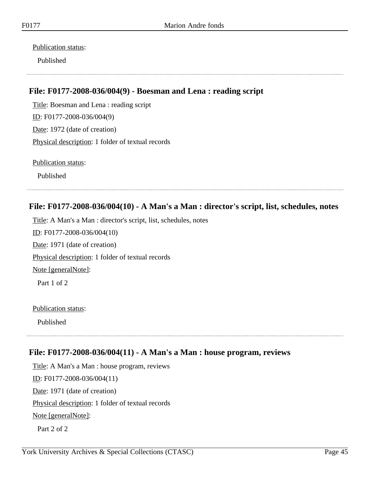Publication status:

Published

#### **File: F0177-2008-036/004(9) - Boesman and Lena : reading script**

Title: Boesman and Lena : reading script ID: F0177-2008-036/004(9) Date: 1972 (date of creation) Physical description: 1 folder of textual records

Publication status:

Published

# **File: F0177-2008-036/004(10) - A Man's a Man : director's script, list, schedules, notes**

Title: A Man's a Man : director's script, list, schedules, notes ID: F0177-2008-036/004(10) Date: 1971 (date of creation) Physical description: 1 folder of textual records Note [generalNote]:

Part 1 of 2

Publication status:

Published

#### **File: F0177-2008-036/004(11) - A Man's a Man : house program, reviews**

Title: A Man's a Man : house program, reviews ID: F0177-2008-036/004(11) Date: 1971 (date of creation) Physical description: 1 folder of textual records Note [generalNote]: Part 2 of 2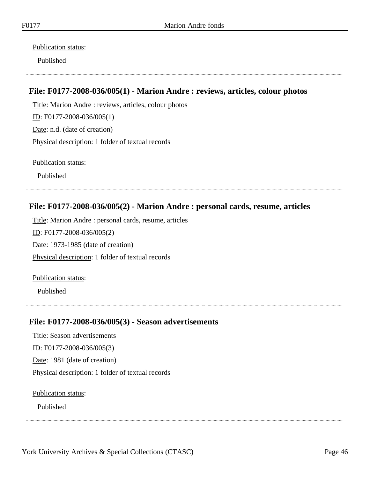Publication status:

Published

#### **File: F0177-2008-036/005(1) - Marion Andre : reviews, articles, colour photos**

Title: Marion Andre : reviews, articles, colour photos ID: F0177-2008-036/005(1) Date: n.d. (date of creation) Physical description: 1 folder of textual records

Publication status:

Published

#### **File: F0177-2008-036/005(2) - Marion Andre : personal cards, resume, articles**

Title: Marion Andre : personal cards, resume, articles ID: F0177-2008-036/005(2) Date: 1973-1985 (date of creation) Physical description: 1 folder of textual records

Publication status:

Published

#### **File: F0177-2008-036/005(3) - Season advertisements**

Title: Season advertisements ID: F0177-2008-036/005(3) Date: 1981 (date of creation) Physical description: 1 folder of textual records

Publication status: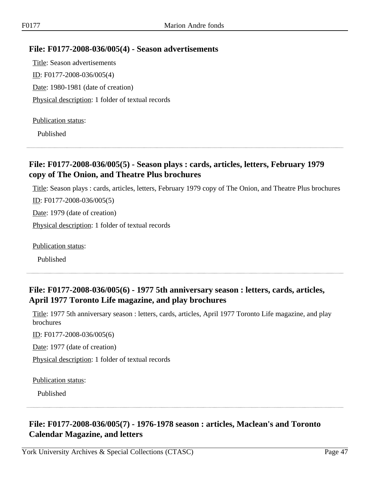#### **File: F0177-2008-036/005(4) - Season advertisements**

Title: Season advertisements ID: F0177-2008-036/005(4) Date: 1980-1981 (date of creation) Physical description: 1 folder of textual records

#### Publication status:

Published

#### **File: F0177-2008-036/005(5) - Season plays : cards, articles, letters, February 1979 copy of The Onion, and Theatre Plus brochures**

Title: Season plays : cards, articles, letters, February 1979 copy of The Onion, and Theatre Plus brochures

ID: F0177-2008-036/005(5)

Date: 1979 (date of creation)

Physical description: 1 folder of textual records

Publication status:

Published

#### **File: F0177-2008-036/005(6) - 1977 5th anniversary season : letters, cards, articles, April 1977 Toronto Life magazine, and play brochures**

Title: 1977 5th anniversary season : letters, cards, articles, April 1977 Toronto Life magazine, and play brochures

ID: F0177-2008-036/005(6)

Date: 1977 (date of creation)

Physical description: 1 folder of textual records

Publication status:

Published

# **File: F0177-2008-036/005(7) - 1976-1978 season : articles, Maclean's and Toronto Calendar Magazine, and letters**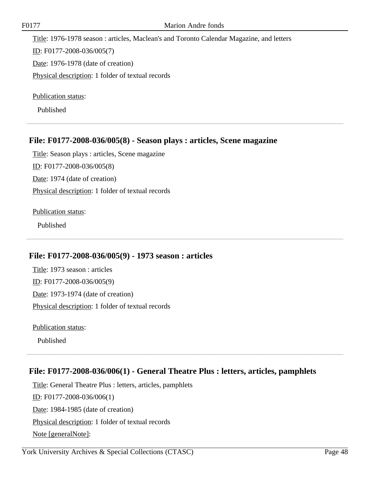Title: 1976-1978 season : articles, Maclean's and Toronto Calendar Magazine, and letters

ID: F0177-2008-036/005(7)

Date: 1976-1978 (date of creation)

Physical description: 1 folder of textual records

Publication status:

Published

#### **File: F0177-2008-036/005(8) - Season plays : articles, Scene magazine**

Title: Season plays : articles, Scene magazine ID: F0177-2008-036/005(8) Date: 1974 (date of creation) Physical description: 1 folder of textual records

#### Publication status:

Published

#### **File: F0177-2008-036/005(9) - 1973 season : articles**

Title: 1973 season : articles ID: F0177-2008-036/005(9) Date: 1973-1974 (date of creation) Physical description: 1 folder of textual records

Publication status:

Published

#### **File: F0177-2008-036/006(1) - General Theatre Plus : letters, articles, pamphlets**

Title: General Theatre Plus : letters, articles, pamphlets ID: F0177-2008-036/006(1) Date: 1984-1985 (date of creation) Physical description: 1 folder of textual records Note [generalNote]: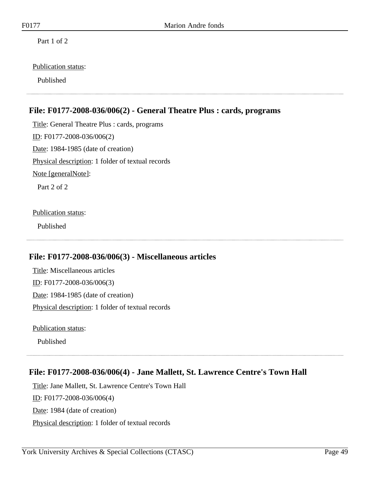Part 1 of 2

#### Publication status:

Published

#### **File: F0177-2008-036/006(2) - General Theatre Plus : cards, programs**

Title: General Theatre Plus : cards, programs ID: F0177-2008-036/006(2) Date: 1984-1985 (date of creation) Physical description: 1 folder of textual records Note [generalNote]: Part 2 of 2

Publication status:

Published

#### **File: F0177-2008-036/006(3) - Miscellaneous articles**

Title: Miscellaneous articles ID: F0177-2008-036/006(3) Date: 1984-1985 (date of creation) Physical description: 1 folder of textual records

Publication status:

Published

#### **File: F0177-2008-036/006(4) - Jane Mallett, St. Lawrence Centre's Town Hall**

Title: Jane Mallett, St. Lawrence Centre's Town Hall ID: F0177-2008-036/006(4) Date: 1984 (date of creation) Physical description: 1 folder of textual records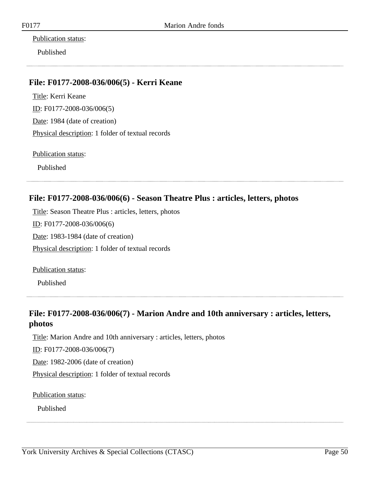Publication status:

Published

#### **File: F0177-2008-036/006(5) - Kerri Keane**

Title: Kerri Keane ID: F0177-2008-036/006(5) Date: 1984 (date of creation) Physical description: 1 folder of textual records

Publication status:

Published

#### **File: F0177-2008-036/006(6) - Season Theatre Plus : articles, letters, photos**

Title: Season Theatre Plus : articles, letters, photos ID: F0177-2008-036/006(6) Date: 1983-1984 (date of creation) Physical description: 1 folder of textual records

Publication status:

Published

#### **File: F0177-2008-036/006(7) - Marion Andre and 10th anniversary : articles, letters, photos**

Title: Marion Andre and 10th anniversary : articles, letters, photos

ID: F0177-2008-036/006(7)

Date: 1982-2006 (date of creation)

Physical description: 1 folder of textual records

Publication status: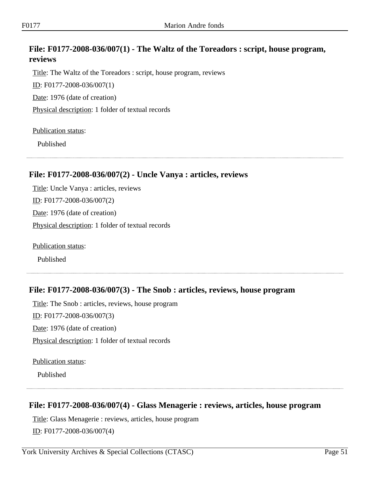#### **File: F0177-2008-036/007(1) - The Waltz of the Toreadors : script, house program, reviews**

Title: The Waltz of the Toreadors : script, house program, reviews ID: F0177-2008-036/007(1) Date: 1976 (date of creation) Physical description: 1 folder of textual records

#### Publication status:

Published

#### **File: F0177-2008-036/007(2) - Uncle Vanya : articles, reviews**

Title: Uncle Vanya : articles, reviews ID: F0177-2008-036/007(2) Date: 1976 (date of creation) Physical description: 1 folder of textual records

Publication status:

Published

#### **File: F0177-2008-036/007(3) - The Snob : articles, reviews, house program**

Title: The Snob : articles, reviews, house program ID: F0177-2008-036/007(3) Date: 1976 (date of creation) Physical description: 1 folder of textual records

Publication status:

Published

#### **File: F0177-2008-036/007(4) - Glass Menagerie : reviews, articles, house program**

Title: Glass Menagerie : reviews, articles, house program

ID: F0177-2008-036/007(4)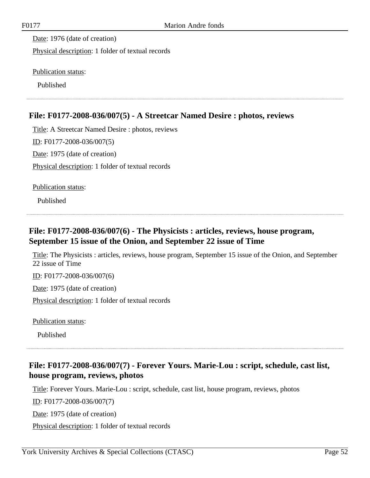Date: 1976 (date of creation)

Physical description: 1 folder of textual records

Publication status:

Published

# **File: F0177-2008-036/007(5) - A Streetcar Named Desire : photos, reviews**

Title: A Streetcar Named Desire : photos, reviews ID: F0177-2008-036/007(5) Date: 1975 (date of creation) Physical description: 1 folder of textual records

Publication status:

Published

#### **File: F0177-2008-036/007(6) - The Physicists : articles, reviews, house program, September 15 issue of the Onion, and September 22 issue of Time**

Title: The Physicists : articles, reviews, house program, September 15 issue of the Onion, and September 22 issue of Time

ID: F0177-2008-036/007(6)

Date: 1975 (date of creation)

Physical description: 1 folder of textual records

Publication status:

Published

# **File: F0177-2008-036/007(7) - Forever Yours. Marie-Lou : script, schedule, cast list, house program, reviews, photos**

Title: Forever Yours. Marie-Lou : script, schedule, cast list, house program, reviews, photos

ID: F0177-2008-036/007(7)

Date: 1975 (date of creation)

Physical description: 1 folder of textual records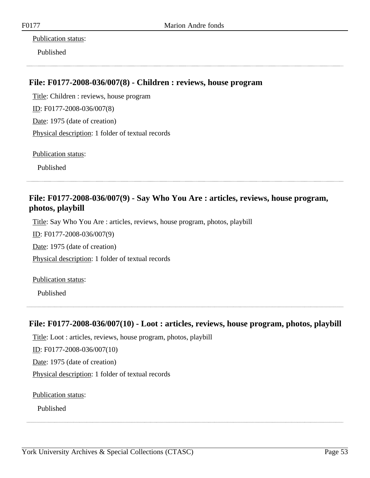#### Publication status:

Published

#### **File: F0177-2008-036/007(8) - Children : reviews, house program**

Title: Children : reviews, house program ID: F0177-2008-036/007(8) Date: 1975 (date of creation) Physical description: 1 folder of textual records

Publication status:

Published

#### **File: F0177-2008-036/007(9) - Say Who You Are : articles, reviews, house program, photos, playbill**

Title: Say Who You Are : articles, reviews, house program, photos, playbill

ID: F0177-2008-036/007(9)

Date: 1975 (date of creation)

Physical description: 1 folder of textual records

Publication status:

Published

# **File: F0177-2008-036/007(10) - Loot : articles, reviews, house program, photos, playbill**

Title: Loot : articles, reviews, house program, photos, playbill

ID: F0177-2008-036/007(10)

Date: 1975 (date of creation)

Physical description: 1 folder of textual records

Publication status: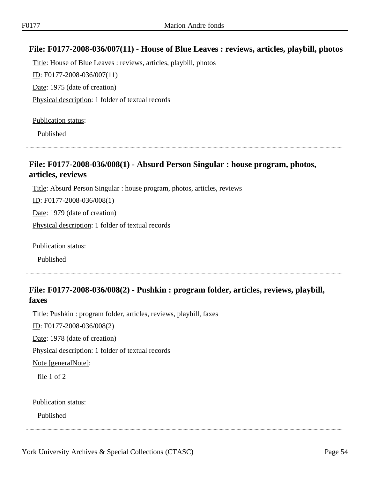#### **File: F0177-2008-036/007(11) - House of Blue Leaves : reviews, articles, playbill, photos**

Title: House of Blue Leaves : reviews, articles, playbill, photos ID: F0177-2008-036/007(11) Date: 1975 (date of creation) Physical description: 1 folder of textual records

#### Publication status:

Published

#### **File: F0177-2008-036/008(1) - Absurd Person Singular : house program, photos, articles, reviews**

Title: Absurd Person Singular : house program, photos, articles, reviews

ID: F0177-2008-036/008(1)

Date: 1979 (date of creation)

Physical description: 1 folder of textual records

Publication status:

Published

# **File: F0177-2008-036/008(2) - Pushkin : program folder, articles, reviews, playbill, faxes**

Title: Pushkin : program folder, articles, reviews, playbill, faxes

ID: F0177-2008-036/008(2)

Date: 1978 (date of creation)

Physical description: 1 folder of textual records

Note [generalNote]:

file 1 of 2

Publication status: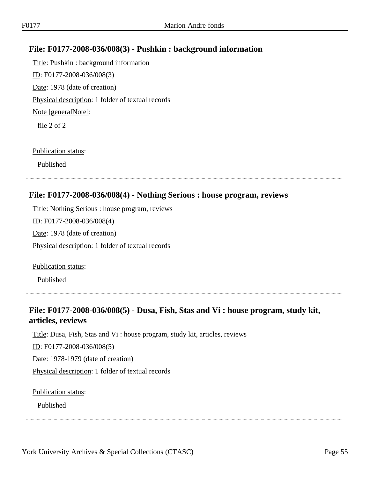#### **File: F0177-2008-036/008(3) - Pushkin : background information**

Title: Pushkin : background information ID: F0177-2008-036/008(3) Date: 1978 (date of creation) Physical description: 1 folder of textual records Note [generalNote]: file 2 of 2

#### Publication status:

Published

#### **File: F0177-2008-036/008(4) - Nothing Serious : house program, reviews**

Title: Nothing Serious : house program, reviews ID: F0177-2008-036/008(4) Date: 1978 (date of creation) Physical description: 1 folder of textual records

Publication status:

Published

#### **File: F0177-2008-036/008(5) - Dusa, Fish, Stas and Vi : house program, study kit, articles, reviews**

Title: Dusa, Fish, Stas and Vi : house program, study kit, articles, reviews

ID: F0177-2008-036/008(5)

Date: 1978-1979 (date of creation)

Physical description: 1 folder of textual records

Publication status: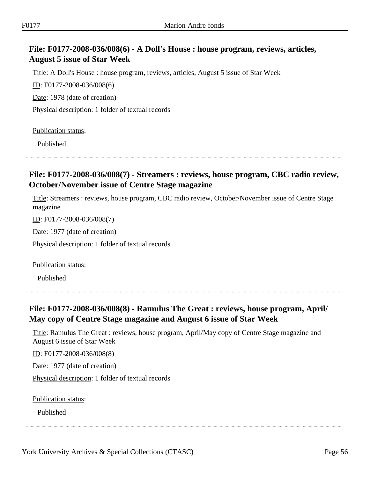#### **File: F0177-2008-036/008(6) - A Doll's House : house program, reviews, articles, August 5 issue of Star Week**

Title: A Doll's House : house program, reviews, articles, August 5 issue of Star Week

ID: F0177-2008-036/008(6)

Date: 1978 (date of creation)

Physical description: 1 folder of textual records

Publication status:

Published

#### **File: F0177-2008-036/008(7) - Streamers : reviews, house program, CBC radio review, October/November issue of Centre Stage magazine**

Title: Streamers : reviews, house program, CBC radio review, October/November issue of Centre Stage magazine

ID: F0177-2008-036/008(7)

Date: 1977 (date of creation)

Physical description: 1 folder of textual records

Publication status:

Published

#### **File: F0177-2008-036/008(8) - Ramulus The Great : reviews, house program, April/ May copy of Centre Stage magazine and August 6 issue of Star Week**

Title: Ramulus The Great : reviews, house program, April/May copy of Centre Stage magazine and August 6 issue of Star Week

ID: F0177-2008-036/008(8)

Date: 1977 (date of creation)

Physical description: 1 folder of textual records

Publication status: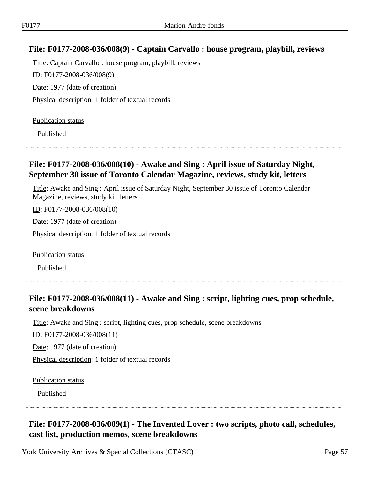#### **File: F0177-2008-036/008(9) - Captain Carvallo : house program, playbill, reviews**

Title: Captain Carvallo : house program, playbill, reviews ID: F0177-2008-036/008(9) Date: 1977 (date of creation) Physical description: 1 folder of textual records

Publication status:

Published

#### **File: F0177-2008-036/008(10) - Awake and Sing : April issue of Saturday Night, September 30 issue of Toronto Calendar Magazine, reviews, study kit, letters**

Title: Awake and Sing : April issue of Saturday Night, September 30 issue of Toronto Calendar Magazine, reviews, study kit, letters

ID: F0177-2008-036/008(10)

Date: 1977 (date of creation)

Physical description: 1 folder of textual records

Publication status:

Published

#### **File: F0177-2008-036/008(11) - Awake and Sing : script, lighting cues, prop schedule, scene breakdowns**

Title: Awake and Sing : script, lighting cues, prop schedule, scene breakdowns

ID: F0177-2008-036/008(11)

Date: 1977 (date of creation)

Physical description: 1 folder of textual records

Publication status:

Published

# **File: F0177-2008-036/009(1) - The Invented Lover : two scripts, photo call, schedules, cast list, production memos, scene breakdowns**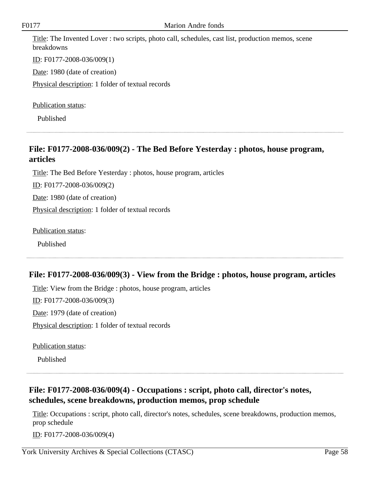Title: The Invented Lover : two scripts, photo call, schedules, cast list, production memos, scene breakdowns

ID: F0177-2008-036/009(1)

Date: 1980 (date of creation)

Physical description: 1 folder of textual records

Publication status:

Published

# **File: F0177-2008-036/009(2) - The Bed Before Yesterday : photos, house program, articles**

Title: The Bed Before Yesterday : photos, house program, articles

ID: F0177-2008-036/009(2)

Date: 1980 (date of creation)

Physical description: 1 folder of textual records

Publication status:

Published

#### **File: F0177-2008-036/009(3) - View from the Bridge : photos, house program, articles**

Title: View from the Bridge : photos, house program, articles

ID: F0177-2008-036/009(3)

Date: 1979 (date of creation)

Physical description: 1 folder of textual records

Publication status:

Published

#### **File: F0177-2008-036/009(4) - Occupations : script, photo call, director's notes, schedules, scene breakdowns, production memos, prop schedule**

Title: Occupations : script, photo call, director's notes, schedules, scene breakdowns, production memos, prop schedule

ID: F0177-2008-036/009(4)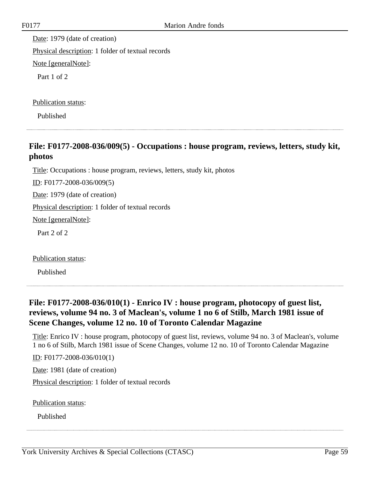Date: 1979 (date of creation) Physical description: 1 folder of textual records Note [generalNote]: Part 1 of 2

Publication status:

Published

#### **File: F0177-2008-036/009(5) - Occupations : house program, reviews, letters, study kit, photos**

Title: Occupations : house program, reviews, letters, study kit, photos

ID: F0177-2008-036/009(5)

Date: 1979 (date of creation)

Physical description: 1 folder of textual records

Note [generalNote]:

Part 2 of 2

Publication status:

Published

#### **File: F0177-2008-036/010(1) - Enrico IV : house program, photocopy of guest list, reviews, volume 94 no. 3 of Maclean's, volume 1 no 6 of Stilb, March 1981 issue of Scene Changes, volume 12 no. 10 of Toronto Calendar Magazine**

Title: Enrico IV : house program, photocopy of guest list, reviews, volume 94 no. 3 of Maclean's, volume 1 no 6 of Stilb, March 1981 issue of Scene Changes, volume 12 no. 10 of Toronto Calendar Magazine

ID: F0177-2008-036/010(1)

Date: 1981 (date of creation)

Physical description: 1 folder of textual records

Publication status: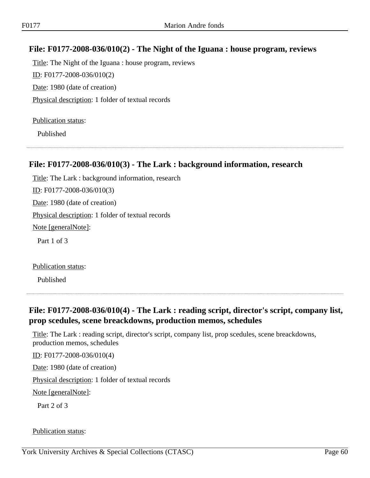#### **File: F0177-2008-036/010(2) - The Night of the Iguana : house program, reviews**

Title: The Night of the Iguana : house program, reviews ID: F0177-2008-036/010(2) Date: 1980 (date of creation) Physical description: 1 folder of textual records

Publication status:

Published

#### **File: F0177-2008-036/010(3) - The Lark : background information, research**

Title: The Lark : background information, research ID: F0177-2008-036/010(3) Date: 1980 (date of creation) Physical description: 1 folder of textual records Note [generalNote]: Part 1 of 3

Publication status:

Published

#### **File: F0177-2008-036/010(4) - The Lark : reading script, director's script, company list, prop scedules, scene breackdowns, production memos, schedules**

Title: The Lark : reading script, director's script, company list, prop scedules, scene breackdowns, production memos, schedules

ID: F0177-2008-036/010(4)

Date: 1980 (date of creation)

Physical description: 1 folder of textual records

Note [generalNote]:

Part 2 of 3

#### Publication status: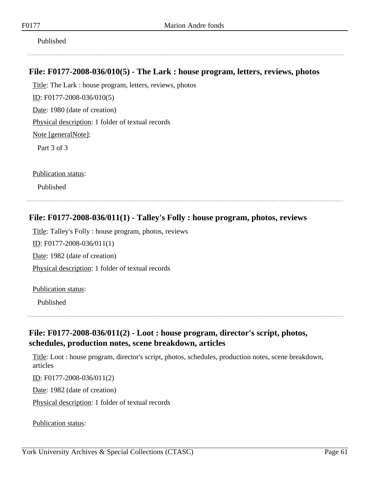Published

#### **File: F0177-2008-036/010(5) - The Lark : house program, letters, reviews, photos**

Title: The Lark : house program, letters, reviews, photos ID: F0177-2008-036/010(5) Date: 1980 (date of creation) Physical description: 1 folder of textual records Note [generalNote]:

Part 3 of 3

Publication status:

Published

#### **File: F0177-2008-036/011(1) - Talley's Folly : house program, photos, reviews**

Title: Talley's Folly : house program, photos, reviews

ID: F0177-2008-036/011(1)

Date: 1982 (date of creation)

Physical description: 1 folder of textual records

Publication status:

Published

#### **File: F0177-2008-036/011(2) - Loot : house program, director's script, photos, schedules, production notes, scene breakdown, articles**

Title: Loot : house program, director's script, photos, schedules, production notes, scene breakdown, articles

ID: F0177-2008-036/011(2)

Date: 1982 (date of creation)

Physical description: 1 folder of textual records

Publication status: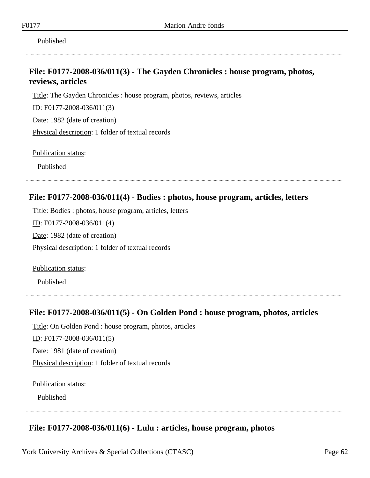Published

#### **File: F0177-2008-036/011(3) - The Gayden Chronicles : house program, photos, reviews, articles**

Title: The Gayden Chronicles : house program, photos, reviews, articles

ID: F0177-2008-036/011(3)

Date: 1982 (date of creation)

Physical description: 1 folder of textual records

Publication status:

Published

#### **File: F0177-2008-036/011(4) - Bodies : photos, house program, articles, letters**

Title: Bodies : photos, house program, articles, letters

ID: F0177-2008-036/011(4)

Date: 1982 (date of creation)

Physical description: 1 folder of textual records

Publication status:

Published

#### **File: F0177-2008-036/011(5) - On Golden Pond : house program, photos, articles**

Title: On Golden Pond : house program, photos, articles ID: F0177-2008-036/011(5) Date: 1981 (date of creation) Physical description: 1 folder of textual records

Publication status:

Published

#### **File: F0177-2008-036/011(6) - Lulu : articles, house program, photos**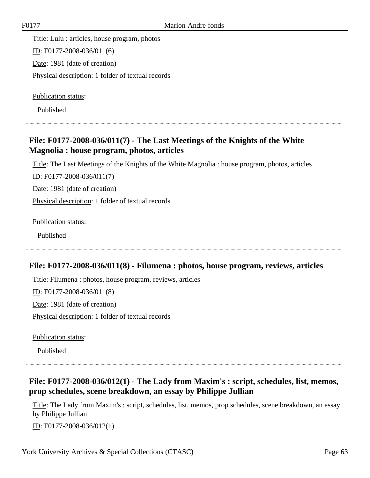Title: Lulu : articles, house program, photos ID: F0177-2008-036/011(6) Date: 1981 (date of creation) Physical description: 1 folder of textual records

Publication status:

Published

# **File: F0177-2008-036/011(7) - The Last Meetings of the Knights of the White Magnolia : house program, photos, articles**

Title: The Last Meetings of the Knights of the White Magnolia : house program, photos, articles

ID: F0177-2008-036/011(7)

Date: 1981 (date of creation)

Physical description: 1 folder of textual records

Publication status:

Published

#### **File: F0177-2008-036/011(8) - Filumena : photos, house program, reviews, articles**

Title: Filumena : photos, house program, reviews, articles ID: F0177-2008-036/011(8) Date: 1981 (date of creation) Physical description: 1 folder of textual records

Publication status:

Published

# **File: F0177-2008-036/012(1) - The Lady from Maxim's : script, schedules, list, memos, prop schedules, scene breakdown, an essay by Philippe Jullian**

Title: The Lady from Maxim's : script, schedules, list, memos, prop schedules, scene breakdown, an essay by Philippe Jullian

ID: F0177-2008-036/012(1)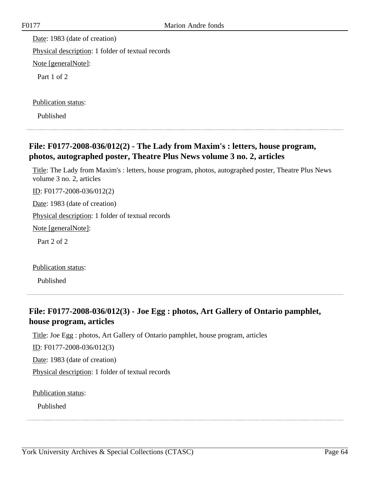Date: 1983 (date of creation) Physical description: 1 folder of textual records Note [generalNote]: Part 1 of 2

Publication status:

Published

# **File: F0177-2008-036/012(2) - The Lady from Maxim's : letters, house program, photos, autographed poster, Theatre Plus News volume 3 no. 2, articles**

Title: The Lady from Maxim's : letters, house program, photos, autographed poster, Theatre Plus News volume 3 no. 2, articles

ID: F0177-2008-036/012(2)

Date: 1983 (date of creation)

Physical description: 1 folder of textual records

Note [generalNote]:

Part 2 of 2

Publication status:

Published

#### **File: F0177-2008-036/012(3) - Joe Egg : photos, Art Gallery of Ontario pamphlet, house program, articles**

Title: Joe Egg : photos, Art Gallery of Ontario pamphlet, house program, articles

ID: F0177-2008-036/012(3)

Date: 1983 (date of creation)

Physical description: 1 folder of textual records

Publication status: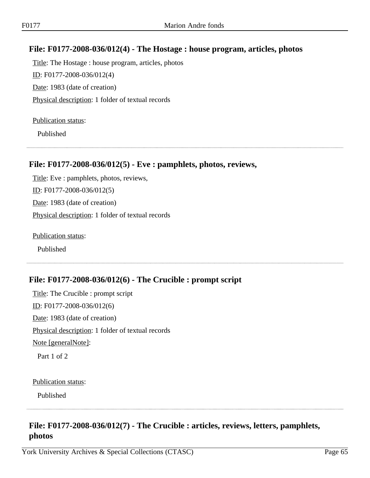#### **File: F0177-2008-036/012(4) - The Hostage : house program, articles, photos**

Title: The Hostage : house program, articles, photos ID: F0177-2008-036/012(4) Date: 1983 (date of creation) Physical description: 1 folder of textual records

#### Publication status:

Published

#### **File: F0177-2008-036/012(5) - Eve : pamphlets, photos, reviews,**

Title: Eve : pamphlets, photos, reviews, ID: F0177-2008-036/012(5) Date: 1983 (date of creation) Physical description: 1 folder of textual records

Publication status:

Published

#### **File: F0177-2008-036/012(6) - The Crucible : prompt script**

Title: The Crucible : prompt script ID: F0177-2008-036/012(6) Date: 1983 (date of creation) Physical description: 1 folder of textual records Note [generalNote]: Part 1 of 2

#### Publication status:

Published

#### **File: F0177-2008-036/012(7) - The Crucible : articles, reviews, letters, pamphlets, photos**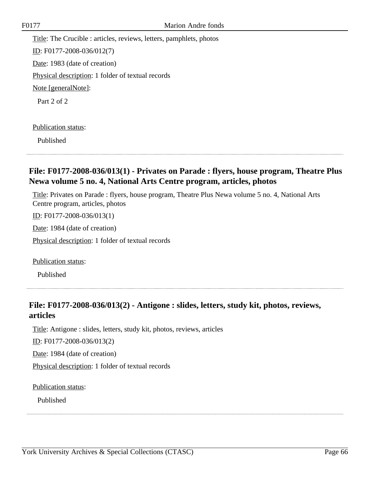Title: The Crucible : articles, reviews, letters, pamphlets, photos ID: F0177-2008-036/012(7) Date: 1983 (date of creation) Physical description: 1 folder of textual records Note [generalNote]: Part 2 of 2

Publication status:

Published

#### **File: F0177-2008-036/013(1) - Privates on Parade : flyers, house program, Theatre Plus Newa volume 5 no. 4, National Arts Centre program, articles, photos**

Title: Privates on Parade : flyers, house program, Theatre Plus Newa volume 5 no. 4, National Arts Centre program, articles, photos

ID: F0177-2008-036/013(1)

Date: 1984 (date of creation)

Physical description: 1 folder of textual records

Publication status:

Published

#### **File: F0177-2008-036/013(2) - Antigone : slides, letters, study kit, photos, reviews, articles**

Title: Antigone : slides, letters, study kit, photos, reviews, articles

ID: F0177-2008-036/013(2)

Date: 1984 (date of creation)

Physical description: 1 folder of textual records

Publication status: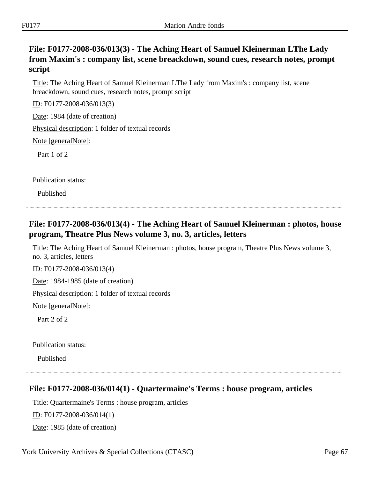#### **File: F0177-2008-036/013(3) - The Aching Heart of Samuel Kleinerman LThe Lady from Maxim's : company list, scene breackdown, sound cues, research notes, prompt script**

Title: The Aching Heart of Samuel Kleinerman LThe Lady from Maxim's : company list, scene breackdown, sound cues, research notes, prompt script

ID: F0177-2008-036/013(3)

Date: 1984 (date of creation)

Physical description: 1 folder of textual records

Note [generalNote]:

Part 1 of 2

Publication status:

Published

# **File: F0177-2008-036/013(4) - The Aching Heart of Samuel Kleinerman : photos, house program, Theatre Plus News volume 3, no. 3, articles, letters**

Title: The Aching Heart of Samuel Kleinerman : photos, house program, Theatre Plus News volume 3, no. 3, articles, letters

ID: F0177-2008-036/013(4)

Date: 1984-1985 (date of creation)

Physical description: 1 folder of textual records

Note [generalNote]:

Part 2 of 2

Publication status:

Published

#### **File: F0177-2008-036/014(1) - Quartermaine's Terms : house program, articles**

Title: Quartermaine's Terms : house program, articles ID: F0177-2008-036/014(1)

Date: 1985 (date of creation)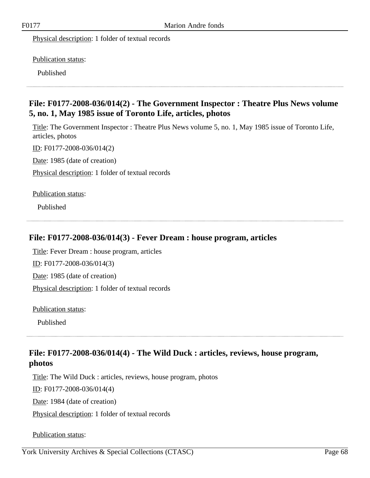Physical description: 1 folder of textual records

Publication status:

Published

#### **File: F0177-2008-036/014(2) - The Government Inspector : Theatre Plus News volume 5, no. 1, May 1985 issue of Toronto Life, articles, photos**

Title: The Government Inspector : Theatre Plus News volume 5, no. 1, May 1985 issue of Toronto Life, articles, photos

ID: F0177-2008-036/014(2)

Date: 1985 (date of creation)

Physical description: 1 folder of textual records

Publication status:

Published

#### **File: F0177-2008-036/014(3) - Fever Dream : house program, articles**

Title: Fever Dream : house program, articles

ID: F0177-2008-036/014(3)

Date: 1985 (date of creation)

Physical description: 1 folder of textual records

Publication status:

Published

#### **File: F0177-2008-036/014(4) - The Wild Duck : articles, reviews, house program, photos**

Title: The Wild Duck : articles, reviews, house program, photos ID: F0177-2008-036/014(4) Date: 1984 (date of creation) Physical description: 1 folder of textual records

Publication status: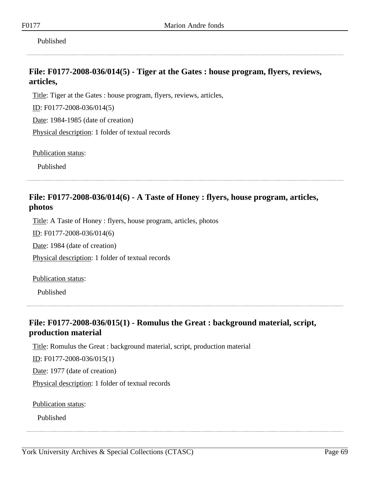Published

#### **File: F0177-2008-036/014(5) - Tiger at the Gates : house program, flyers, reviews, articles,**

Title: Tiger at the Gates : house program, flyers, reviews, articles,

ID: F0177-2008-036/014(5)

Date: 1984-1985 (date of creation)

Physical description: 1 folder of textual records

Publication status:

Published

# **File: F0177-2008-036/014(6) - A Taste of Honey : flyers, house program, articles, photos**

Title: A Taste of Honey : flyers, house program, articles, photos

ID: F0177-2008-036/014(6)

Date: 1984 (date of creation)

Physical description: 1 folder of textual records

Publication status:

Published

#### **File: F0177-2008-036/015(1) - Romulus the Great : background material, script, production material**

Title: Romulus the Great : background material, script, production material

ID: F0177-2008-036/015(1)

Date: 1977 (date of creation)

Physical description: 1 folder of textual records

Publication status: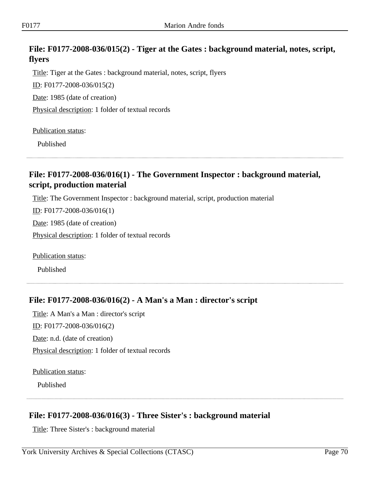# **File: F0177-2008-036/015(2) - Tiger at the Gates : background material, notes, script, flyers**

Title: Tiger at the Gates : background material, notes, script, flyers

ID: F0177-2008-036/015(2)

Date: 1985 (date of creation)

Physical description: 1 folder of textual records

Publication status:

Published

#### **File: F0177-2008-036/016(1) - The Government Inspector : background material, script, production material**

Title: The Government Inspector : background material, script, production material

ID: F0177-2008-036/016(1)

Date: 1985 (date of creation)

Physical description: 1 folder of textual records

Publication status:

Published

#### **File: F0177-2008-036/016(2) - A Man's a Man : director's script**

Title: A Man's a Man : director's script

ID: F0177-2008-036/016(2)

Date: n.d. (date of creation)

Physical description: 1 folder of textual records

Publication status:

Published

#### **File: F0177-2008-036/016(3) - Three Sister's : background material**

Title: Three Sister's : background material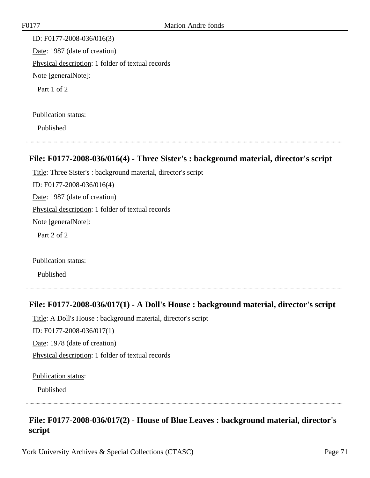ID: F0177-2008-036/016(3) Date: 1987 (date of creation) Physical description: 1 folder of textual records Note [generalNote]: Part 1 of 2

#### Publication status:

Published

#### **File: F0177-2008-036/016(4) - Three Sister's : background material, director's script**

Title: Three Sister's : background material, director's script ID: F0177-2008-036/016(4) Date: 1987 (date of creation) Physical description: 1 folder of textual records Note [generalNote]: Part 2 of 2

Publication status:

Published

#### **File: F0177-2008-036/017(1) - A Doll's House : background material, director's script**

Title: A Doll's House : background material, director's script

ID: F0177-2008-036/017(1)

Date: 1978 (date of creation)

Physical description: 1 folder of textual records

Publication status:

Published

# **File: F0177-2008-036/017(2) - House of Blue Leaves : background material, director's script**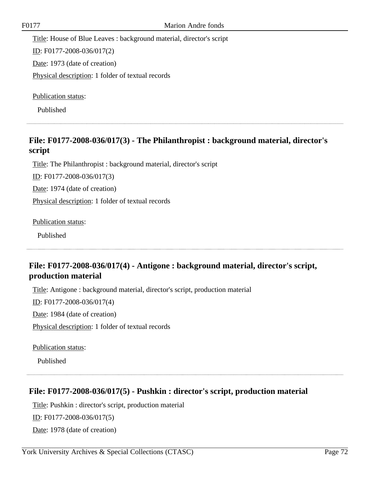Title: House of Blue Leaves : background material, director's script ID: F0177-2008-036/017(2) Date: 1973 (date of creation) Physical description: 1 folder of textual records

Publication status:

Published

# **File: F0177-2008-036/017(3) - The Philanthropist : background material, director's script**

Title: The Philanthropist : background material, director's script ID: F0177-2008-036/017(3) Date: 1974 (date of creation) Physical description: 1 folder of textual records

Publication status:

Published

# **File: F0177-2008-036/017(4) - Antigone : background material, director's script, production material**

Title: Antigone : background material, director's script, production material

ID: F0177-2008-036/017(4)

Date: 1984 (date of creation)

Physical description: 1 folder of textual records

Publication status:

Published

#### **File: F0177-2008-036/017(5) - Pushkin : director's script, production material**

Title: Pushkin : director's script, production material ID: F0177-2008-036/017(5) Date: 1978 (date of creation)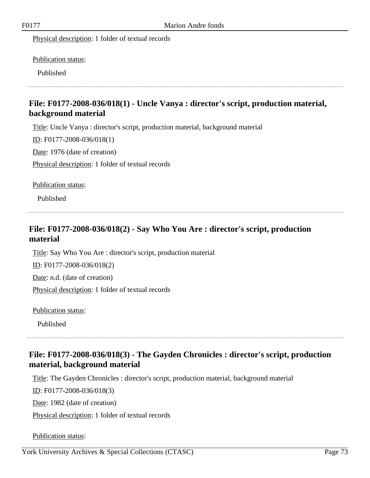Physical description: 1 folder of textual records

Publication status:

Published

# **File: F0177-2008-036/018(1) - Uncle Vanya : director's script, production material, background material**

Title: Uncle Vanya : director's script, production material, background material

ID: F0177-2008-036/018(1)

Date: 1976 (date of creation)

Physical description: 1 folder of textual records

Publication status:

Published

# **File: F0177-2008-036/018(2) - Say Who You Are : director's script, production material**

Title: Say Who You Are : director's script, production material ID: F0177-2008-036/018(2) Date: n.d. (date of creation) Physical description: 1 folder of textual records

Publication status:

Published

# **File: F0177-2008-036/018(3) - The Gayden Chronicles : director's script, production material, background material**

Title: The Gayden Chronicles : director's script, production material, background material

ID: F0177-2008-036/018(3)

Date: 1982 (date of creation)

Physical description: 1 folder of textual records

Publication status: